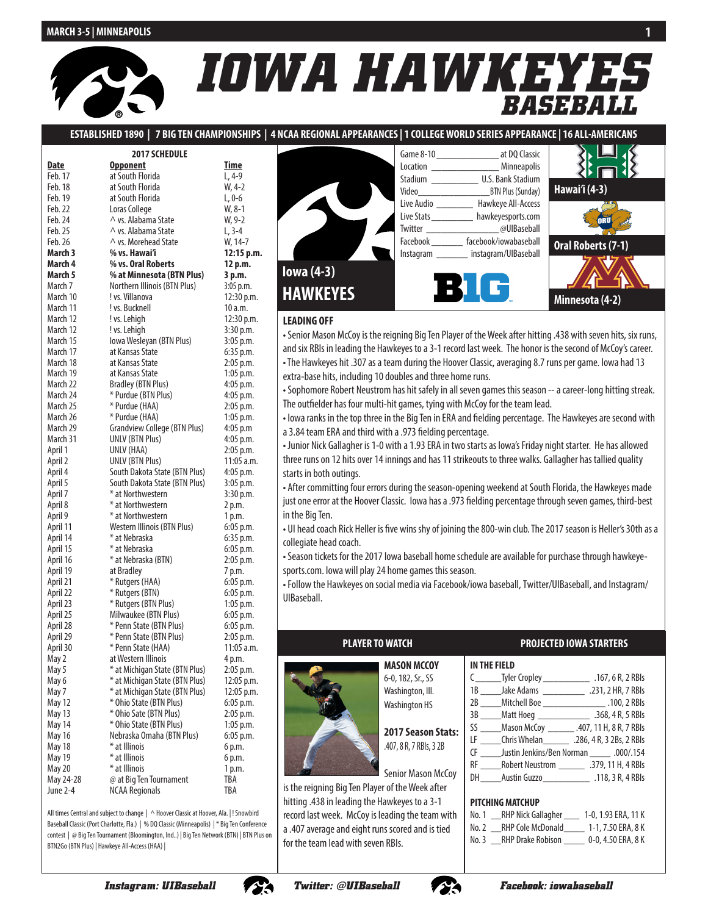# *IOWA HAWKEYES BASEBALL*

**ESTABLISHED 1890 | 7 BIG TEN CHAMPIONSHIPS | 4 NCAA REGIONAL APPEARANCES | 1 COLLEGE WORLD SERIES APPEARANCE | 16 ALL-AMERICANS**

| <b>2017 SCHEDULE</b> |                                     |             |  |  |
|----------------------|-------------------------------------|-------------|--|--|
| Date                 | <b>Opponent</b>                     | <b>Time</b> |  |  |
| Feb. 17              | at South Florida                    | $L, 4-9$    |  |  |
| Feb. 18              | at South Florida                    | W, 4-2      |  |  |
| Feb. 19              | at South Florida                    | L, 0-6      |  |  |
| Feb. 22              | Loras College                       | $W, 8-1$    |  |  |
| Feb. 24              | $\wedge$ vs. Alabama State          | W, 9-2      |  |  |
| Feb. 25              | ∧ vs. Alabama State                 | $L, 3-4$    |  |  |
| Feb. 26              | $\wedge$ vs. Morehead State         | W, 14-7     |  |  |
| March 3              | % vs. Hawai'i                       | 12:15 p.m.  |  |  |
| March 4              | % vs. Oral Roberts                  | 12 p.m.     |  |  |
| March 5              | % at Minnesota (BTN Plus)           | 3 p.m.      |  |  |
| March 7              | Northern Illinois (BTN Plus)        | 3:05 p.m.   |  |  |
| March 10             | ! vs. Villanova                     | 12:30 p.m.  |  |  |
| March 11             | ! vs. Bucknell                      | 10 a.m.     |  |  |
| March 12             | ! vs. Lehigh                        | 12:30 p.m.  |  |  |
| March 12             | ! vs. Lehigh                        | 3:30 p.m.   |  |  |
| March 15             | Iowa Wesleyan (BTN Plus)            | 3:05 p.m.   |  |  |
| March 17             | at Kansas State                     | 6:35 p.m.   |  |  |
| March 18             | at Kansas State                     | 2:05 p.m.   |  |  |
| March 19             | at Kansas State                     | $1:05$ p.m. |  |  |
| March 22             | <b>Bradley (BTN Plus)</b>           | 4:05 p.m.   |  |  |
| March 24             | * Purdue (BTN Plus)                 | 4:05 p.m.   |  |  |
| March 25             | * Purdue (HAA)                      | 2:05 p.m.   |  |  |
| March 26             | * Purdue (HAA)                      | $1:05$ p.m. |  |  |
| March 29             | <b>Grandview College (BTN Plus)</b> | $4:05$ p.m  |  |  |
| March 31             | <b>UNLV (BTN Plus)</b>              | 4:05 p.m.   |  |  |
| April 1              | UNLV (HAA)                          | 2:05 p.m.   |  |  |
| April 2              | <b>UNLV (BTN Plus)</b>              | 11:05 a.m.  |  |  |
| April 4              | South Dakota State (BTN Plus)       | 4:05 p.m.   |  |  |
| April 5              | South Dakota State (BTN Plus)       | 3:05 p.m.   |  |  |
| April 7              | * at Northwestern                   | 3:30 p.m.   |  |  |
| April 8              | * at Northwestern                   | 2 p.m.      |  |  |
| April 9              | * at Northwestern                   | 1 p.m.      |  |  |
| April 11             | Western Illinois (BTN Plus)         | 6:05 p.m.   |  |  |
| April 14             | * at Nebraska                       | 6:35 p.m.   |  |  |
| April 15             | * at Nebraska                       | 6:05 p.m.   |  |  |
| April 16             | * at Nebraska (BTN)                 | 2:05 p.m.   |  |  |
| April 19             | at Bradley                          | 7 p.m.      |  |  |
| April 21             | * Rutgers (HAA)                     | 6:05 p.m.   |  |  |
| April 22             | * Rutgers (BTN)                     | 6:05 p.m.   |  |  |
| April 23             | * Rutgers (BTN Plus)                | $1:05$ p.m. |  |  |
| April 25             | Milwaukee (BTN Plus)                | $6:05$ p.m. |  |  |
| April 28             | * Penn State (BTN Plus)             | $6:05$ p.m. |  |  |
| April 29             | * Penn State (BTN Plus)             | 2:05 p.m.   |  |  |
| April 30             | * Penn State (HAA)                  | 11:05 a.m.  |  |  |
| May 2                | at Western Illinois                 | 4 p.m.      |  |  |
| ל May                | * at Michigan State (BTN Plus)      | 2:05 p.m.   |  |  |
| May 6                | * at Michigan State (BTN Plus)      | 12:05 p.m.  |  |  |
| May 7                | * at Michigan State (BTN Plus)      | 12:05 p.m.  |  |  |
| <b>May 12</b>        | * Ohio State (BTN Plus)             | 6:05 p.m.   |  |  |
| May 13               | * Ohio Sate (BTN Plus)              | 2:05 p.m.   |  |  |
| May 14               | * Ohio State (BTN Plus)             | 1:05 p.m.   |  |  |
| <b>May 16</b>        | Nebraska Omaha (BTN Plus)           | 6:05 p.m.   |  |  |
| <b>May 18</b>        | * at Illinois                       | 6 p.m.      |  |  |
| May 19               | * at Illinois                       | 6 p.m.      |  |  |
| <b>May 20</b>        | * at Illinois                       | 1 p.m.      |  |  |
| May 24-28            | @ at Big Ten Tournament             | TBA         |  |  |
| June 2-4             | <b>NCAA Regionals</b>               | TBA         |  |  |

All times Central and subject to change | ^ Hoover Classic at Hoover, Ala. |! Snowbird Baseball Classic (Port Charlotte, Fla.) | % DQ Classic (Minneapolis) | \* Big Ten Conference contest | @ Big Ten Tournament (Bloomington, Ind..) | Big Ten Network (BTN) | BTN Plus on BTN2Go (BTN Plus) | Hawkeye All-Access (HAA) |



|                           | Game 8-10 at DQ Classic  |
|---------------------------|--------------------------|
| Location                  | Minneapolis              |
| Stadium                   | <b>U.S. Bank Stadium</b> |
|                           | <b>BTN Plus (Sunday)</b> |
| Live Audio                | Hawkeye All-Access       |
| Live Stats <b>Example</b> | hawkeyesports.com        |
| Twitter _______           | @UIBaseball              |
| Facebook                  | facebook/iowabaseball    |
| Instagram _______         | instagram/UIBaseball     |
|                           |                          |





#### **LEADING OFF**

• Senior Mason McCoy is the reigning Big Ten Player of the Week after hitting .438 with seven hits, six runs, and six RBIs in leading the Hawkeyes to a 3-1 record last week. The honor is the second of McCoy's career. • The Hawkeyes hit .307 as a team during the Hoover Classic, averaging 8.7 runs per game. Iowa had 13 extra-base hits, including 10 doubles and three home runs.

• Sophomore Robert Neustrom has hit safely in all seven games this season -- a career-long hitting streak. The outfielder has four multi-hit games, tying with McCoy for the team lead.

• Iowa ranks in the top three in the Big Ten in ERA and fielding percentage. The Hawkeyes are second with a 3.84 team ERA and third with a .973 fielding percentage.

• Junior Nick Gallagher is 1-0 with a 1.93 ERA in two starts as Iowa's Friday night starter. He has allowed three runs on 12 hits over 14 innings and has 11 strikeouts to three walks. Gallagher has tallied quality starts in both outings.

• After committing four errors during the season-opening weekend at South Florida, the Hawkeyes made just one error at the Hoover Classic. Iowa has a .973 fielding percentage through seven games, third-best in the Big Ten.

• UI head coach Rick Heller is five wins shy of joining the 800-win club. The 2017 season is Heller's 30th as a collegiate head coach.

• Season tickets for the 2017 Iowa baseball home schedule are available for purchase through hawkeyesports.com. Iowa will play 24 home games this season.

• Follow the Hawkeyes on social media via Facebook/iowa baseball, Twitter/UIBaseball, and Instagram/ UIBaseball.

### **MASON MCCOY**



**2017 Season Stats:**  .407, 8 R, 7 RBIs, 3 2B

Senior Mason McCoy is the reigning Big Ten Player of the Week after hitting .438 in leading the Hawkeyes to a 3-1 record last week. McCoy is leading the team with a .407 average and eight runs scored and is tied for the team lead with seven RBIs.

#### **PLAYER TO WATCH PROJECTED IOWA STARTERS**

|    | C Tyler Cropley                   | .167, 6 R, 2 RBIs                                       |
|----|-----------------------------------|---------------------------------------------------------|
|    | 1B _______Jake Adams ____________ | .231, 2 HR, 7 RBIs                                      |
|    |                                   | 2B Mitchell Boe 3100, 2 RBIs                            |
|    |                                   | 3B _____ Matt Hoeg __________________ .368, 4 R, 5 RBIs |
|    |                                   | SS ______ Mason McCoy _________ .407, 11 H, 8 R, 7 RBIs |
|    |                                   | Chris Whelan .286, 4 R, 3 2Bs, 2 RBIs                   |
| CF |                                   | 154./000. Justin Jenkins/Ben Norman                     |
|    |                                   | RF Robert Neustrom 379, 11 H, 4 RBIs                    |
| DH |                                   |                                                         |

#### **PITCHING MATCHUP**

| No. 1 | <b>RHP Nick Gallagher</b> | 1-0, 1.93 ERA, 11 K |
|-------|---------------------------|---------------------|
| No. 2 | <b>RHP Cole McDonald</b>  | 1-1, 7.50 ERA, 8 K  |
| No. 3 | <b>RHP Drake Robison</b>  | 0-0, 4.50 ERA, 8 K  |





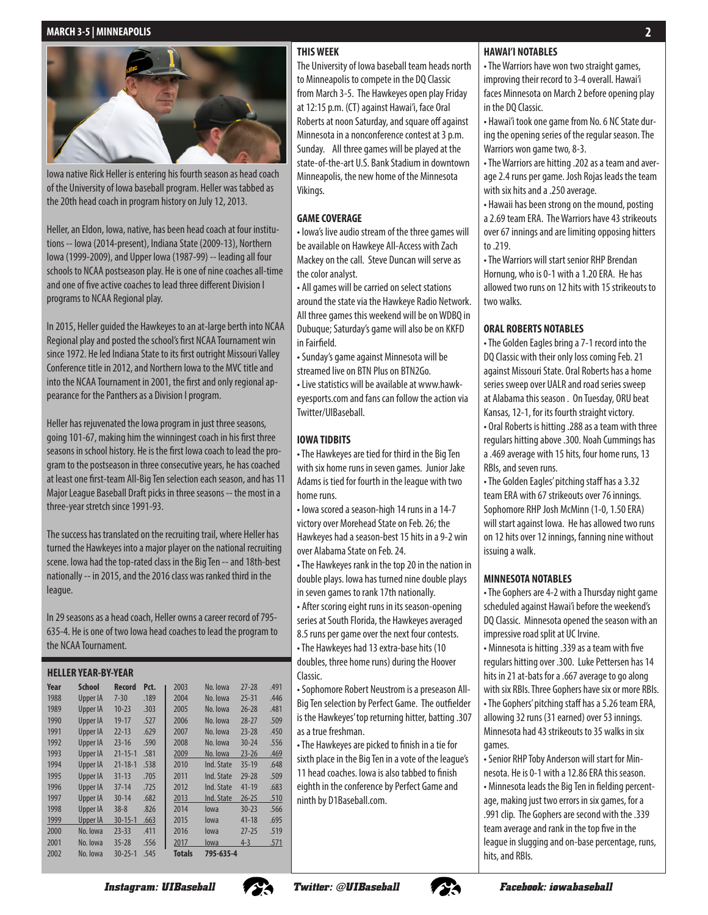

Iowa native Rick Heller is entering his fourth season as head coach of the University of Iowa baseball program. Heller was tabbed as the 20th head coach in program history on July 12, 2013.

Heller, an Eldon, Iowa, native, has been head coach at four institutions -- Iowa (2014-present), Indiana State (2009-13), Northern Iowa (1999-2009), and Upper Iowa (1987-99) -- leading all four schools to NCAA postseason play. He is one of nine coaches all-time and one of five active coaches to lead three different Division I programs to NCAA Regional play.

In 2015, Heller guided the Hawkeyes to an at-large berth into NCAA Regional play and posted the school's first NCAA Tournament win since 1972. He led Indiana State to its first outright Missouri Valley Conference title in 2012, and Northern Iowa to the MVC title and into the NCAA Tournament in 2001, the first and only regional appearance for the Panthers as a Division I program.

Heller has rejuvenated the Iowa program in just three seasons, going 101-67, making him the winningest coach in his first three seasons in school history. He is the first Iowa coach to lead the program to the postseason in three consecutive years, he has coached at least one first-team All-Big Ten selection each season, and has 11 Major League Baseball Draft picks in three seasons -- the most in a three-year stretch since 1991-93.

The success has translated on the recruiting trail, where Heller has turned the Hawkeyes into a major player on the national recruiting scene. Iowa had the top-rated class in the Big Ten -- and 18th-best nationally -- in 2015, and the 2016 class was ranked third in the league.

In 29 seasons as a head coach, Heller owns a career record of 795- 635-4. He is one of two Iowa head coaches to lead the program to the NCAA Tournament.

#### **HELLER YEAR-BY-YEAR**

| Year | School          | Record        | Pct. | 2003   | No. Iowa   | $27 - 28$ | .491 |
|------|-----------------|---------------|------|--------|------------|-----------|------|
| 1988 | <b>Upper IA</b> | $7 - 30$      | .189 | 2004   | No. Iowa   | $25 - 31$ | .446 |
| 1989 | <b>Upper IA</b> | $10 - 23$     | .303 | 2005   | No. Iowa   | $26 - 28$ | .481 |
| 1990 | <b>Upper IA</b> | $19 - 17$     | .527 | 2006   | No. Iowa   | $28 - 27$ | .509 |
| 1991 | <b>Upper IA</b> | $22 - 13$     | .629 | 2007   | No. Iowa   | $23 - 28$ | .450 |
| 1992 | <b>Upper IA</b> | $23 - 16$     | .590 | 2008   | No. Iowa   | $30 - 24$ | .556 |
| 1993 | <b>Upper IA</b> | $21 - 15 - 1$ | .581 | 2009   | No. Iowa   | $23 - 26$ | .469 |
| 1994 | Upper IA        | $21 - 18 - 1$ | .538 | 2010   | Ind. State | $35 - 19$ | .648 |
| 1995 | <b>Upper IA</b> | $31 - 13$     | .705 | 2011   | Ind. State | $29 - 28$ | .509 |
| 1996 | <b>Upper IA</b> | $37 - 14$     | .725 | 2012   | Ind. State | $41 - 19$ | .683 |
| 1997 | Upper IA        | $30 - 14$     | .682 | 2013   | Ind. State | $26 - 25$ | .510 |
| 1998 | Upper IA        | $38 - 8$      | .826 | 2014   | lowa       | $30 - 23$ | .566 |
| 1999 | Upper IA        | $30 - 15 - 1$ | .663 | 2015   | lowa       | $41 - 18$ | .695 |
| 2000 | No. Iowa        | $23 - 33$     | .411 | 2016   | lowa       | $27 - 25$ | .519 |
| 2001 | No. Iowa        | $35 - 28$     | .556 | 2017   | lowa       | $4 - 3$   | .571 |
| 2002 | No. Iowa        | $30 - 25 - 1$ | .545 | Totals | 795-635-4  |           |      |

#### **THIS WEEK**

The University of Iowa baseball team heads north to Minneapolis to compete in the DQ Classic from March 3-5. The Hawkeyes open play Friday at 12:15 p.m. (CT) against Hawai'i, face Oral Roberts at noon Saturday, and square off against Minnesota in a nonconference contest at 3 p.m. Sunday. All three games will be played at the state-of-the-art U.S. Bank Stadium in downtown Minneapolis, the new home of the Minnesota Vikings.

#### **GAME COVERAGE**

• Iowa's live audio stream of the three games will be available on Hawkeye All-Access with Zach Mackey on the call. Steve Duncan will serve as the color analyst.

• All games will be carried on select stations around the state via the Hawkeye Radio Network. All three games this weekend will be on WDBQ in Dubuque; Saturday's game will also be on KKFD in Fairfield.

• Sunday's game against Minnesota will be streamed live on BTN Plus on BTN2Go.

• Live statistics will be available at www.hawkeyesports.com and fans can follow the action via Twitter/UIBaseball.

#### **IOWA TIDBITS**

• The Hawkeyes are tied for third in the Big Ten with six home runs in seven games. Junior Jake Adams is tied for fourth in the league with two home runs.

• Iowa scored a season-high 14 runs in a 14-7 victory over Morehead State on Feb. 26; the Hawkeyes had a season-best 15 hits in a 9-2 win over Alabama State on Feb. 24.

• The Hawkeyes rank in the top 20 in the nation in double plays. Iowa has turned nine double plays in seven games to rank 17th nationally.

• After scoring eight runs in its season-opening series at South Florida, the Hawkeyes averaged 8.5 runs per game over the next four contests. • The Hawkeyes had 13 extra-base hits (10 doubles, three home runs) during the Hoover Classic.

• Sophomore Robert Neustrom is a preseason All-Big Ten selection by Perfect Game. The outfielder is the Hawkeyes' top returning hitter, batting .307 as a true freshman.

• The Hawkeyes are picked to finish in a tie for sixth place in the Big Ten in a vote of the league's 11 head coaches. Iowa is also tabbed to finish eighth in the conference by Perfect Game and ninth by D1Baseball.com.

### **HAWAI'I NOTABLES**

• The Warriors have won two straight games, improving their record to 3-4 overall. Hawai'i faces Minnesota on March 2 before opening play in the DQ Classic.

**2**

• Hawai'i took one game from No. 6 NC State during the opening series of the regular season. The Warriors won game two, 8-3.

• The Warriors are hitting .202 as a team and average 2.4 runs per game. Josh Rojas leads the team with six hits and a .250 average.

• Hawaii has been strong on the mound, posting a 2.69 team ERA. The Warriors have 43 strikeouts over 67 innings and are limiting opposing hitters to .219.

• The Warriors will start senior RHP Brendan Hornung, who is 0-1 with a 1.20 ERA. He has allowed two runs on 12 hits with 15 strikeouts to two walks.

#### **ORAL ROBERTS NOTABLES**

• The Golden Eagles bring a 7-1 record into the DQ Classic with their only loss coming Feb. 21 against Missouri State. Oral Roberts has a home series sweep over UALR and road series sweep at Alabama this season . On Tuesday, ORU beat Kansas, 12-1, for its fourth straight victory. • Oral Roberts is hitting .288 as a team with three regulars hitting above .300. Noah Cummings has

a .469 average with 15 hits, four home runs, 13 RBIs, and seven runs.

• The Golden Eagles' pitching staff has a 3.32 team ERA with 67 strikeouts over 76 innings. Sophomore RHP Josh McMinn (1-0, 1.50 ERA) will start against Iowa. He has allowed two runs on 12 hits over 12 innings, fanning nine without issuing a walk.

#### **MINNESOTA NOTABLES**

• The Gophers are 4-2 with a Thursday night game scheduled against Hawai'i before the weekend's DQ Classic. Minnesota opened the season with an impressive road split at UC Irvine.

• Minnesota is hitting .339 as a team with five regulars hitting over .300. Luke Pettersen has 14 hits in 21 at-bats for a .667 average to go along with six RBIs. Three Gophers have six or more RBIs. • The Gophers' pitching staff has a 5.26 team ERA, allowing 32 runs (31 earned) over 53 innings. Minnesota had 43 strikeouts to 35 walks in six games.

• Senior RHP Toby Anderson will start for Minnesota. He is 0-1 with a 12.86 ERA this season. • Minnesota leads the Big Ten in fielding percentage, making just two errors in six games, for a .991 clip. The Gophers are second with the .339 team average and rank in the top five in the league in slugging and on-base percentage, runs, hits, and RBIs.



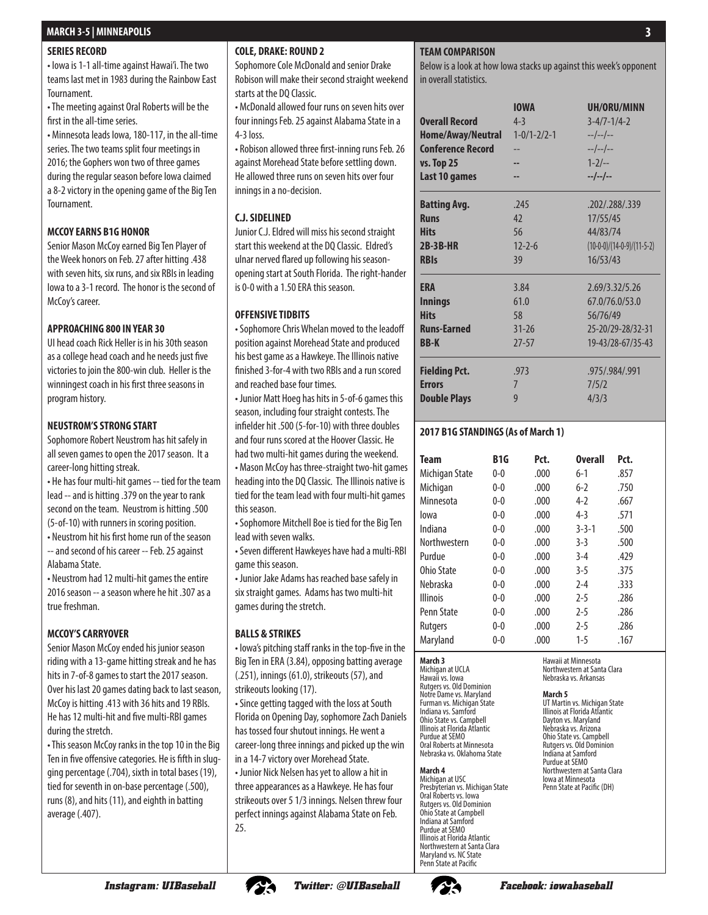#### **SERIES RECORD**

• Iowa is 1-1 all-time against Hawai'i. The two teams last met in 1983 during the Rainbow East Tournament.

• The meeting against Oral Roberts will be the first in the all-time series.

• Minnesota leads Iowa, 180-117, in the all-time series. The two teams split four meetings in 2016; the Gophers won two of three games during the regular season before Iowa claimed a 8-2 victory in the opening game of the Big Ten Tournament.

#### **MCCOY EARNS B1G HONOR**

Senior Mason McCoy earned Big Ten Player of the Week honors on Feb. 27 after hitting .438 with seven hits, six runs, and six RBIs in leading Iowa to a 3-1 record. The honor is the second of McCoy's career.

#### **APPROACHING 800 IN YEAR 30**

UI head coach Rick Heller is in his 30th season as a college head coach and he needs just five victories to join the 800-win club. Heller is the winningest coach in his first three seasons in program history.

#### **NEUSTROM'S STRONG START**

Sophomore Robert Neustrom has hit safely in all seven games to open the 2017 season. It a career-long hitting streak.

• He has four multi-hit games -- tied for the team lead -- and is hitting .379 on the year to rank second on the team. Neustrom is hitting .500 (5-of-10) with runners in scoring position.

• Neustrom hit his first home run of the season -- and second of his career -- Feb. 25 against Alabama State.

• Neustrom had 12 multi-hit games the entire 2016 season -- a season where he hit .307 as a true freshman.

#### **MCCOY'S CARRYOVER**

Senior Mason McCoy ended his junior season riding with a 13-game hitting streak and he has hits in 7-of-8 games to start the 2017 season. Over his last 20 games dating back to last season, McCoy is hitting .413 with 36 hits and 19 RBIs. He has 12 multi-hit and five multi-RBI games during the stretch.

• This season McCoy ranks in the top 10 in the Big Ten in five offensive categories. He is fifth in slugging percentage (.704), sixth in total bases (19), tied for seventh in on-base percentage (.500), runs (8), and hits (11), and eighth in batting average (.407).

#### **COLE, DRAKE: ROUND 2**

Sophomore Cole McDonald and senior Drake Robison will make their second straight weekend starts at the DQ Classic.

• McDonald allowed four runs on seven hits over four innings Feb. 25 against Alabama State in a 4-3 loss.

• Robison allowed three first-inning runs Feb. 26 against Morehead State before settling down. He allowed three runs on seven hits over four innings in a no-decision.

#### **C.J. SIDELINED**

Junior C.J. Eldred will miss his second straight start this weekend at the DQ Classic. Eldred's ulnar nerved flared up following his seasonopening start at South Florida. The right-hander is 0-0 with a 1.50 ERA this season.

#### **OFFENSIVE TIDBITS**

• Sophomore Chris Whelan moved to the leadoff position against Morehead State and produced his best game as a Hawkeye. The Illinois native finished 3-for-4 with two RBIs and a run scored and reached base four times.

• Junior Matt Hoeg has hits in 5-of-6 games this season, including four straight contests. The infielder hit .500 (5-for-10) with three doubles and four runs scored at the Hoover Classic. He had two multi-hit games during the weekend.

• Mason McCoy has three-straight two-hit games heading into the DQ Classic. The Illinois native is tied for the team lead with four multi-hit games this season.

• Sophomore Mitchell Boe is tied for the Big Ten lead with seven walks.

• Seven different Hawkeyes have had a multi-RBI game this season.

• Junior Jake Adams has reached base safely in six straight games. Adams has two multi-hit games during the stretch.

#### **BALLS & STRIKES**

• Iowa's pitching staff ranks in the top-five in the Big Ten in ERA (3.84), opposing batting average (.251), innings (61.0), strikeouts (57), and strikeouts looking (17).

• Since getting tagged with the loss at South Florida on Opening Day, sophomore Zach Daniels has tossed four shutout innings. He went a career-long three innings and picked up the win in a 14-7 victory over Morehead State. • Junior Nick Nelsen has yet to allow a hit in three appearances as a Hawkeye. He has four strikeouts over 5 1/3 innings. Nelsen threw four

perfect innings against Alabama State on Feb.

### **TEAM COMPARISON**

Below is a look at how Iowa stacks up against this week's opponent in overall statistics.

| <b>Overall Record</b><br>Home/Away/Neutral<br><b>Conference Record</b><br><b>vs. Top 25</b><br>Last 10 games | <b>IOWA</b><br>$4 - 3$<br>$1 - 0/1 - 2/2 - 1$ | UH/ORU/MINN<br>$3 - 4/7 - 1/4 - 2$<br>$-/-/-$<br>$-/-/-$<br>$1 - 2/-$<br>$-/-/-/-.$ |
|--------------------------------------------------------------------------------------------------------------|-----------------------------------------------|-------------------------------------------------------------------------------------|
| <b>Batting Avg.</b>                                                                                          | .245                                          | .202/.288/.339                                                                      |
| <b>Runs</b>                                                                                                  | 42                                            | 17/55/45                                                                            |
| <b>Hits</b>                                                                                                  | 56                                            | 44/83/74                                                                            |
| <b>2B-3B-HR</b>                                                                                              | $12 - 2 - 6$                                  | $(10-0-0)/(14-0-9)/(11-5-2)$                                                        |
| <b>RBIs</b>                                                                                                  | 39                                            | 16/53/43                                                                            |
| <b>ERA</b>                                                                                                   | 3.84                                          | 2.69/3.32/5.26                                                                      |
| <b>Innings</b>                                                                                               | 61.0                                          | 67.0/76.0/53.0                                                                      |
| <b>Hits</b>                                                                                                  | 58                                            | 56/76/49                                                                            |
| <b>Runs-Earned</b>                                                                                           | $31 - 26$                                     | 25-20/29-28/32-31                                                                   |
| BB-K                                                                                                         | $27 - 57$                                     | 19-43/28-67/35-43                                                                   |
| <b>Fielding Pct.</b>                                                                                         | .973                                          | .975/.984/.991                                                                      |
| <b>Errors</b>                                                                                                | 7                                             | 7/5/2                                                                               |
| <b>Double Plays</b>                                                                                          | 9                                             | 4/3/3                                                                               |

#### **2017 B1G STANDINGS (As of March 1)**

| Team            | B <sub>1</sub> G | Pct. | <b>Overall</b> | Pct. |  |
|-----------------|------------------|------|----------------|------|--|
| Michigan State  | $0 - 0$          | .000 | $6-1$          | .857 |  |
| Michigan        | $0 - 0$          | .000 | $6-2$          | .750 |  |
| Minnesota       | $0 - 0$          | .000 | $4-2$          | .667 |  |
| lowa            | $0 - 0$          | .000 | $4-3$          | .571 |  |
| Indiana         | $0 - 0$          | .000 | $3 - 3 - 1$    | .500 |  |
| Northwestern    | $0 - 0$          | .000 | $3-3$          | .500 |  |
| Purdue          | $0 - 0$          | .000 | $3-4$          | .429 |  |
| Ohio State      | $0 - 0$          | .000 | $3-5$          | .375 |  |
| Nebraska        | $0 - 0$          | .000 | $2 - 4$        | .333 |  |
| <b>Illinois</b> | $0 - 0$          | .000 | $2 - 5$        | .286 |  |
| Penn State      | $0 - 0$          | .000 | $2 - 5$        | .286 |  |
| <b>Rutgers</b>  | $0 - 0$          | .000 | $2 - 5$        | .286 |  |
| Maryland        | $0 - 0$          | .000 | $1 - 5$        | .167 |  |

#### **March 3**

Michigan at UCLA Hawaii vs. Iowa Rutgers vs. Old Dominion Notre Dame vs. Maryland Furman vs. Michigan State Indiana vs. Samford Ohio State vs. Campbell Illinois at Florida Atlantic Purdue at SEMO Oral Roberts at Minnesota Nebraska vs. Oklahoma State

#### **March 4**

Michigan at USC Presbyterian vs. Michigan State Oral Roberts vs. Iowa Rutgers vs. Old Dominion Ohio State at Campbell Indiana at Samford Purdue at SEMO Illinois at Florida Atlantic Northwestern at Santa Clara Maryland vs. NC State Penn State at Pacific

Hawaii at Minnesota Northwestern at Santa Clara Nebraska vs. Arkansas

**March 5**

UT Martin vs. Michigan State Illinois at Florida Atlantic Dayton vs. Maryland Nebraska vs. Arizona Ohio State vs. Campbell Rutgers vs. Old Dominion Indiana at Samford Purdue at SEMO Northwestern at Santa Clara Iowa at Minnesota Penn State at Pacific (DH)



25.

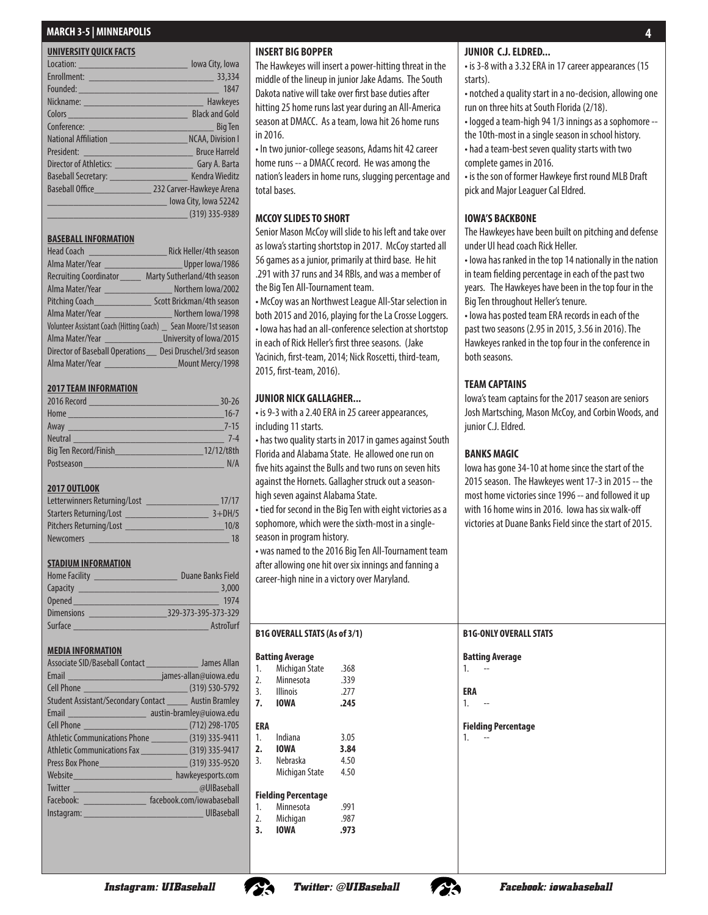| UNIVERSITY QUICK FACTS                                                                                                                                                                                                               |                       |
|--------------------------------------------------------------------------------------------------------------------------------------------------------------------------------------------------------------------------------------|-----------------------|
| Location: <u>contract and contract and contract and contract and contract and contract and contract and contract and contract and contract and contract and contract and contract and contract and contract and contract and con</u> | lowa City, Iowa       |
|                                                                                                                                                                                                                                      |                       |
|                                                                                                                                                                                                                                      | 1847                  |
|                                                                                                                                                                                                                                      | Hawkeyes              |
|                                                                                                                                                                                                                                      | <b>Black and Gold</b> |
|                                                                                                                                                                                                                                      | <b>Big Ten</b>        |
| National Affiliation NCAA, Division I                                                                                                                                                                                                |                       |
| President: Bruce Harreld                                                                                                                                                                                                             |                       |
|                                                                                                                                                                                                                                      |                       |
| Baseball Secretary: New York Secretary:                                                                                                                                                                                              | <b>Kendra Wieditz</b> |
| Baseball Office 232 Carver-Hawkeye Arena                                                                                                                                                                                             |                       |
|                                                                                                                                                                                                                                      | Iowa City, Iowa 52242 |
|                                                                                                                                                                                                                                      | $(319)$ 335-9389      |

#### **BASEBALL INFORMATION**

| Head Coach                                                         | Rick Heller/4th season      |
|--------------------------------------------------------------------|-----------------------------|
| Alma Mater/Year Letter Upper lowa/1986                             |                             |
| <b>Recruiting Coordinator</b>                                      | Marty Sutherland/4th season |
| Alma Mater/Year Morthern Iowa/2002                                 |                             |
| Pitching Coach_______________                                      | Scott Brickman/4th season   |
| Alma Mater/Year Northern lowa/1998                                 |                             |
| Volunteer Assistant Coach (Hitting Coach) _ Sean Moore/1st season  |                             |
| Alma Mater/Year __________________________ University of lowa/2015 |                             |
| Director of Baseball Operations __ Desi Druschel/3rd season        |                             |
|                                                                    | Mount Mercy/1998            |

#### **2017 TEAM INFORMATION**

| 2016 Record                                                                                                                                                                                                                          | $30 - 26$  |
|--------------------------------------------------------------------------------------------------------------------------------------------------------------------------------------------------------------------------------------|------------|
| Home                                                                                                                                                                                                                                 | $16 - 7$   |
| Away <u>expression and the series of the series of the series of the series of the series of the series of the series of the series of the series of the series of the series of the series of the series of the series of the s</u> | $7 - 15$   |
| <b>Neutral</b>                                                                                                                                                                                                                       | $7 - 4$    |
| Big Ten Record/Finish                                                                                                                                                                                                                | 12/12/t8th |
| Postseason                                                                                                                                                                                                                           | N/A        |

#### **2017 OUTLOOK**

| Letterwinners Returning/Lost   | 17/17    |
|--------------------------------|----------|
| <b>Starters Returning/Lost</b> | $3+DH/5$ |
| Pitchers Returning/Lost        | 10/8     |
| <b>Newcomers</b>               | 18       |

#### **STADIUM INFORMATION**

| <b>Home Facility</b> | Duane Banks Field   |
|----------------------|---------------------|
| Capacity             | 3,000               |
| <b>Opened</b>        | 1974                |
| <b>Dimensions</b>    | 329-373-395-373-329 |
| Surface              | AstroTurf           |

#### **MEDIA INFORMATION**

| Associate SID/Baseball Contact _________________ James Allan |                           |
|--------------------------------------------------------------|---------------------------|
|                                                              |                           |
|                                                              |                           |
| Student Assistant/Secondary Contact ______ Austin Bramley    |                           |
|                                                              |                           |
|                                                              |                           |
| Athletic Communications Phone (319) 335-9411                 |                           |
| Athletic Communications Fax _______________(319) 335-9417    |                           |
|                                                              |                           |
|                                                              | hawkeyesports.com         |
|                                                              | <b>a</b> UIBaseball       |
| Facebook: _________________                                  | facebook.com/jowabaseball |
| Instagram: UIBaseball                                        |                           |
|                                                              |                           |

#### **INSERT BIG BOPPER**

The Hawkeyes will insert a power-hitting threat in the middle of the lineup in junior Jake Adams. The South Dakota native will take over first base duties after hitting 25 home runs last year during an All-America season at DMACC. As a team, Iowa hit 26 home runs in 2016.

• In two junior-college seasons, Adams hit 42 career home runs -- a DMACC record. He was among the nation's leaders in home runs, slugging percentage and total bases.

#### **MCCOY SLIDES TO SHORT**

Senior Mason McCoy will slide to his left and take over as Iowa's starting shortstop in 2017. McCoy started all 56 games as a junior, primarily at third base. He hit .291 with 37 runs and 34 RBIs, and was a member of the Big Ten All-Tournament team.

• McCoy was an Northwest League All-Star selection in both 2015 and 2016, playing for the La Crosse Loggers. • Iowa has had an all-conference selection at shortstop in each of Rick Heller's first three seasons. (Jake Yacinich, first-team, 2014; Nick Roscetti, third-team, 2015, first-team, 2016).

#### **JUNIOR NICK GALLAGHER...**

• is 9-3 with a 2.40 ERA in 25 career appearances, including 11 starts.

• has two quality starts in 2017 in games against South Florida and Alabama State. He allowed one run on five hits against the Bulls and two runs on seven hits against the Hornets. Gallagher struck out a seasonhigh seven against Alabama State.

• tied for second in the Big Ten with eight victories as a sophomore, which were the sixth-most in a singleseason in program history.

• was named to the 2016 Big Ten All-Tournament team after allowing one hit over six innings and fanning a career-high nine in a victory over Maryland.

|               | B1G OVERALL STATS (As of 3/1) |      |  |  |  |  |  |  |  |
|---------------|-------------------------------|------|--|--|--|--|--|--|--|
|               | <b>Batting Average</b>        |      |  |  |  |  |  |  |  |
| 1.            | Michigan State                | .368 |  |  |  |  |  |  |  |
| 2.            | Minnesota                     | .339 |  |  |  |  |  |  |  |
|               | 3. Illinois                   | .277 |  |  |  |  |  |  |  |
|               | 7. IOWA                       | .245 |  |  |  |  |  |  |  |
|               |                               |      |  |  |  |  |  |  |  |
| ERA           |                               |      |  |  |  |  |  |  |  |
|               | 1. Indiana                    | 3.05 |  |  |  |  |  |  |  |
|               | 2. IOWA                       | 3.84 |  |  |  |  |  |  |  |
| $\mathcal{E}$ | Nebraska                      | 4.50 |  |  |  |  |  |  |  |
|               | Michigan State                | 4.50 |  |  |  |  |  |  |  |
|               | Fielding Percentage           |      |  |  |  |  |  |  |  |
| 1.            | Minnesota                     | .991 |  |  |  |  |  |  |  |
| 2.            | Michigan                      | .987 |  |  |  |  |  |  |  |
| 3.            | <b>IOWA</b>                   | .973 |  |  |  |  |  |  |  |
|               |                               |      |  |  |  |  |  |  |  |

#### **JUNIOR C.J. ELDRED...**

• is 3-8 with a 3.32 ERA in 17 career appearances (15 starts).

• notched a quality start in a no-decision, allowing one run on three hits at South Florida (2/18).

• logged a team-high 94 1/3 innings as a sophomore --

- the 10th-most in a single season in school history. • had a team-best seven quality starts with two complete games in 2016.
- 
- is the son of former Hawkeye first round MLB Draft pick and Major Leaguer Cal Eldred.

#### **IOWA'S BACKBONE**

The Hawkeyes have been built on pitching and defense under UI head coach Rick Heller.

• Iowa has ranked in the top 14 nationally in the nation in team fielding percentage in each of the past two years. The Hawkeyes have been in the top four in the Big Ten throughout Heller's tenure.

• Iowa has posted team ERA records in each of the past two seasons (2.95 in 2015, 3.56 in 2016). The Hawkeyes ranked in the top four in the conference in both seasons.

#### **TEAM CAPTAINS**

Iowa's team captains for the 2017 season are seniors Josh Martsching, Mason McCoy, and Corbin Woods, and junior C.J. Eldred.

#### **BANKS MAGIC**

Iowa has gone 34-10 at home since the start of the 2015 season. The Hawkeyes went 17-3 in 2015 -- the most home victories since 1996 -- and followed it up with 16 home wins in 2016. Iowa has six walk-off victories at Duane Banks Field since the start of 2015.

#### **B1G-ONLY OVERALL STATS**

**Batting Average**

 $1.$ 

**ERA**  $1$ 

#### **Fielding Percentage**  $1$



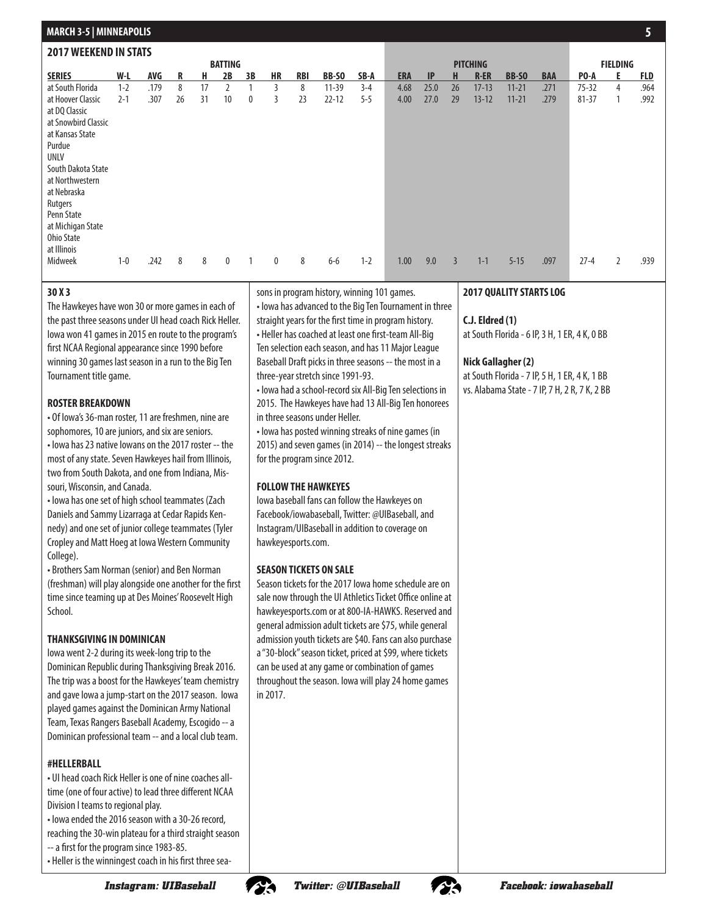| <b>MURIER AND A LIMITIAL AFTS</b> |         |      |    |    |                |    |           |            |           |         |            |      |                |                 |           |            |                 |   |            |
|-----------------------------------|---------|------|----|----|----------------|----|-----------|------------|-----------|---------|------------|------|----------------|-----------------|-----------|------------|-----------------|---|------------|
| <b>2017 WEEKEND IN STATS</b>      |         |      |    |    |                |    |           |            |           |         |            |      |                |                 |           |            |                 |   |            |
|                                   |         |      |    |    | <b>BATTING</b> |    |           |            |           |         |            |      |                | <b>PITCHING</b> |           |            | <b>FIELDING</b> |   |            |
| <b>SERIES</b>                     | W-L     | AVG  | R  | н  | 2B             | 3B | <b>HR</b> | <b>RBI</b> | BB-SO     | SB-A    | <b>ERA</b> | IP   | H              | <b>R-ER</b>     | BB-SO     | <b>BAA</b> | PO-A            | E | <u>FLD</u> |
| at South Florida                  | $1 - 2$ | .179 | 8  | 17 | $\overline{2}$ |    | 3         | 8          | $11 - 39$ | $3 - 4$ | 4.68       | 25.0 | 26             | $17 - 13$       | $11 - 21$ | .271       | $75 - 32$       | 4 | .964       |
| at Hoover Classic                 | $2 - 1$ | .307 | 26 | 31 | 10             | 0  | 3         | 23         | $22 - 12$ | $5 - 5$ | 4.00       | 27.0 | 29             | $13 - 12$       | $11 - 21$ | .279       | $81 - 37$       | 1 | .992       |
| at DQ Classic                     |         |      |    |    |                |    |           |            |           |         |            |      |                |                 |           |            |                 |   |            |
| at Snowbird Classic               |         |      |    |    |                |    |           |            |           |         |            |      |                |                 |           |            |                 |   |            |
| at Kansas State                   |         |      |    |    |                |    |           |            |           |         |            |      |                |                 |           |            |                 |   |            |
| Purdue                            |         |      |    |    |                |    |           |            |           |         |            |      |                |                 |           |            |                 |   |            |
| <b>UNLV</b>                       |         |      |    |    |                |    |           |            |           |         |            |      |                |                 |           |            |                 |   |            |
| South Dakota State                |         |      |    |    |                |    |           |            |           |         |            |      |                |                 |           |            |                 |   |            |
| at Northwestern                   |         |      |    |    |                |    |           |            |           |         |            |      |                |                 |           |            |                 |   |            |
| at Nebraska                       |         |      |    |    |                |    |           |            |           |         |            |      |                |                 |           |            |                 |   |            |
| Rutgers                           |         |      |    |    |                |    |           |            |           |         |            |      |                |                 |           |            |                 |   |            |
| Penn State                        |         |      |    |    |                |    |           |            |           |         |            |      |                |                 |           |            |                 |   |            |
| at Michigan State                 |         |      |    |    |                |    |           |            |           |         |            |      |                |                 |           |            |                 |   |            |
| Ohio State                        |         |      |    |    |                |    |           |            |           |         |            |      |                |                 |           |            |                 |   |            |
| at Illinois                       |         |      |    |    |                |    |           |            |           |         |            |      |                |                 |           |            |                 |   |            |
| Midweek                           | $1 - 0$ | .242 | 8  | 8  | $\mathbf 0$    |    | 0         | 8          | $6-6$     | $1 - 2$ | 1.00       | 9.0  | $\overline{3}$ | $1 - 1$         | $5 - 15$  | .097       | $27 - 4$        | 2 | .939       |
|                                   |         |      |    |    |                |    |           |            |           |         |            |      |                |                 |           |            |                 |   |            |

sons in program history, winning 101 games. • Iowa has advanced to the Big Ten Tournament in three straight years for the first time in program history. • Heller has coached at least one first-team All-Big Ten selection each season, and has 11 Major League Baseball Draft picks in three seasons -- the most in a

• Iowa had a school-record six All-Big Ten selections in 2015. The Hawkeyes have had 13 All-Big Ten honorees

• Iowa has posted winning streaks of nine games (in 2015) and seven games (in 2014) -- the longest streaks

Iowa baseball fans can follow the Hawkeyes on Facebook/iowabaseball, Twitter: @UIBaseball, and Instagram/UIBaseball in addition to coverage on

Season tickets for the 2017 Iowa home schedule are on sale now through the UI Athletics Ticket Office online at hawkeyesports.com or at 800-IA-HAWKS. Reserved and general admission adult tickets are \$75, while general admission youth tickets are \$40. Fans can also purchase a "30-block" season ticket, priced at \$99, where tickets can be used at any game or combination of games throughout the season. Iowa will play 24 home games

three-year stretch since 1991-93.

in three seasons under Heller.

for the program since 2012.

**FOLLOW THE HAWKEYES**

hawkeyesports.com.

in 2017.

**SEASON TICKETS ON SALE**

#### **30 X 3**

The Hawkeyes have won 30 or more games in each of the past three seasons under UI head coach Rick Heller. Iowa won 41 games in 2015 en route to the program's first NCAA Regional appearance since 1990 before winning 30 games last season in a run to the Big Ten Tournament title game.

#### **ROSTER BREAKDOWN**

**MARCH 3-5 | MINNEAPOLIS**

• Of Iowa's 36-man roster, 11 are freshmen, nine are sophomores, 10 are juniors, and six are seniors. • Iowa has 23 native Iowans on the 2017 roster -- the most of any state. Seven Hawkeyes hail from Illinois, two from South Dakota, and one from Indiana, Missouri, Wisconsin, and Canada.

• Iowa has one set of high school teammates (Zach Daniels and Sammy Lizarraga at Cedar Rapids Kennedy) and one set of junior college teammates (Tyler Cropley and Matt Hoeg at Iowa Western Community College).

• Brothers Sam Norman (senior) and Ben Norman (freshman) will play alongside one another for the first time since teaming up at Des Moines' Roosevelt High School.

#### **THANKSGIVING IN DOMINICAN**

Iowa went 2-2 during its week-long trip to the Dominican Republic during Thanksgiving Break 2016. The trip was a boost for the Hawkeyes' team chemistry and gave Iowa a jump-start on the 2017 season. Iowa played games against the Dominican Army National Team, Texas Rangers Baseball Academy, Escogido -- a Dominican professional team -- and a local club team.

#### **#HELLERBALL**

- UI head coach Rick Heller is one of nine coaches alltime (one of four active) to lead three different NCAA Division I teams to regional play.
- Iowa ended the 2016 season with a 30-26 record,
- reaching the 30-win plateau for a third straight season

-- a first for the program since 1983-85.

• Heller is the winningest coach in his first three sea-





**C.J. Eldred (1)**

at South Florida - 6 IP, 3 H, 1 ER, 4 K, 0 BB

#### **Nick Gallagher (2)**

at South Florida - 7 IP, 5 H, 1 ER, 4 K, 1 BB vs. Alabama State - 7 IP, 7 H, 2 R, 7 K, 2 BB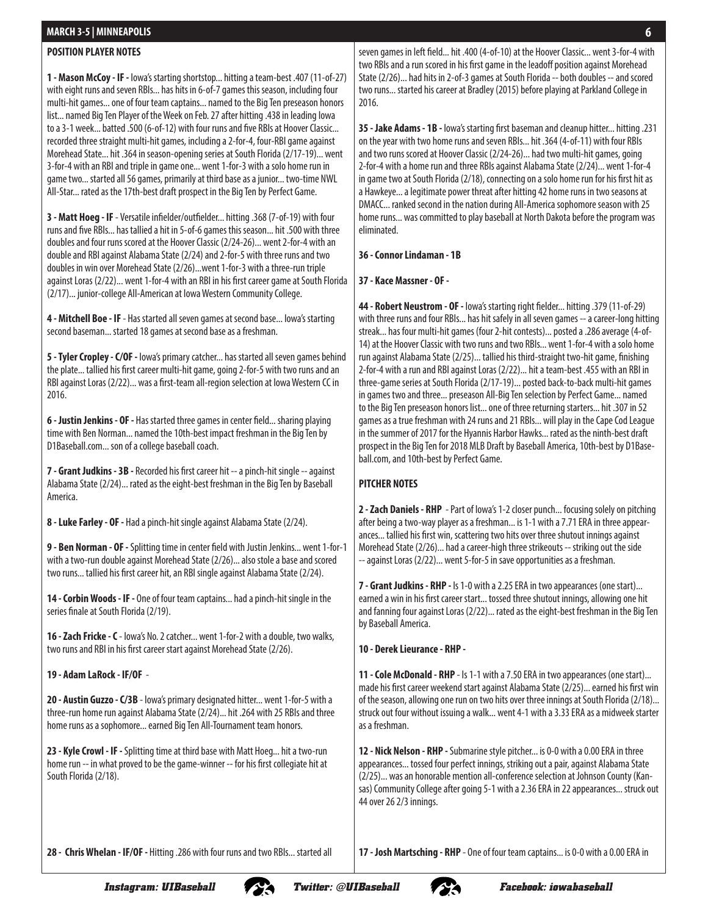#### **POSITION PLAYER NOTES**

**1 - Mason McCoy - IF -** Iowa's starting shortstop... hitting a team-best .407 (11-of-27) with eight runs and seven RBIs... has hits in 6-of-7 games this season, including four multi-hit games... one of four team captains... named to the Big Ten preseason honors list... named Big Ten Player of the Week on Feb. 27 after hitting .438 in leading Iowa to a 3-1 week... batted .500 (6-of-12) with four runs and five RBIs at Hoover Classic... recorded three straight multi-hit games, including a 2-for-4, four-RBI game against Morehead State... hit .364 in season-opening series at South Florida (2/17-19)... went 3-for-4 with an RBI and triple in game one... went 1-for-3 with a solo home run in game two... started all 56 games, primarily at third base as a junior... two-time NWL All-Star... rated as the 17th-best draft prospect in the Big Ten by Perfect Game.

**3 - Matt Hoeg - IF** - Versatile infielder/outfielder... hitting .368 (7-of-19) with four runs and five RBIs... has tallied a hit in 5-of-6 games this season... hit .500 with three doubles and four runs scored at the Hoover Classic (2/24-26)... went 2-for-4 with an double and RBI against Alabama State (2/24) and 2-for-5 with three runs and two doubles in win over Morehead State (2/26)...went 1-for-3 with a three-run triple against Loras (2/22)... went 1-for-4 with an RBI in his first career game at South Florida (2/17)... junior-college All-American at Iowa Western Community College.

**4 - Mitchell Boe - IF** - Has started all seven games at second base... Iowa's starting second baseman... started 18 games at second base as a freshman.

**5 - Tyler Cropley - C/OF -** Iowa's primary catcher... has started all seven games behind the plate... tallied his first career multi-hit game, going 2-for-5 with two runs and an RBI against Loras (2/22)... was a first-team all-region selection at Iowa Western CC in 2016.

**6 - Justin Jenkins - OF -** Has started three games in center field... sharing playing time with Ben Norman... named the 10th-best impact freshman in the Big Ten by D1Baseball.com... son of a college baseball coach.

**7 - Grant Judkins - 3B -** Recorded his first career hit -- a pinch-hit single -- against Alabama State (2/24)... rated as the eight-best freshman in the Big Ten by Baseball America.

**8 - Luke Farley - OF -** Had a pinch-hit single against Alabama State (2/24).

**9 - Ben Norman - OF -** Splitting time in center field with Justin Jenkins... went 1-for-1 with a two-run double against Morehead State (2/26)... also stole a base and scored two runs... tallied his first career hit, an RBI single against Alabama State (2/24).

**14 - Corbin Woods - IF -** One of four team captains... had a pinch-hit single in the series finale at South Florida (2/19).

**16 - Zach Fricke - C** - Iowa's No. 2 catcher... went 1-for-2 with a double, two walks, two runs and RBI in his first career start against Morehead State (2/26).

**19 - Adam LaRock - IF/OF** -

**20 - Austin Guzzo - C/3B** - Iowa's primary designated hitter... went 1-for-5 with a three-run home run against Alabama State (2/24)... hit .264 with 25 RBIs and three home runs as a sophomore... earned Big Ten All-Tournament team honors.

**23 - Kyle Crowl - IF -** Splitting time at third base with Matt Hoeg... hit a two-run home run -- in what proved to be the game-winner -- for his first collegiate hit at South Florida (2/18).

seven games in left field... hit .400 (4-of-10) at the Hoover Classic... went 3-for-4 with two RBIs and a run scored in his first game in the leadoff position against Morehead State (2/26)... had hits in 2-of-3 games at South Florida -- both doubles -- and scored two runs... started his career at Bradley (2015) before playing at Parkland College in 2016.

**35 - Jake Adams - 1B -** Iowa's starting first baseman and cleanup hitter... hitting .231 on the year with two home runs and seven RBIs... hit .364 (4-of-11) with four RBIs and two runs scored at Hoover Classic (2/24-26)... had two multi-hit games, going 2-for-4 with a home run and three RBIs against Alabama State (2/24)... went 1-for-4 in game two at South Florida (2/18), connecting on a solo home run for his first hit as a Hawkeye... a legitimate power threat after hitting 42 home runs in two seasons at DMACC... ranked second in the nation during All-America sophomore season with 25 home runs... was committed to play baseball at North Dakota before the program was eliminated.

**36 - Connor Lindaman - 1B**

**37 - Kace Massner - OF -** 

**44 - Robert Neustrom - OF -** Iowa's starting right fielder... hitting .379 (11-of-29) with three runs and four RBIs... has hit safely in all seven games -- a career-long hitting streak... has four multi-hit games (four 2-hit contests)... posted a .286 average (4-of-14) at the Hoover Classic with two runs and two RBIs... went 1-for-4 with a solo home run against Alabama State (2/25)... tallied his third-straight two-hit game, finishing 2-for-4 with a run and RBI against Loras (2/22)... hit a team-best .455 with an RBI in three-game series at South Florida (2/17-19)... posted back-to-back multi-hit games in games two and three... preseason All-Big Ten selection by Perfect Game... named to the Big Ten preseason honors list... one of three returning starters... hit .307 in 52 games as a true freshman with 24 runs and 21 RBIs... will play in the Cape Cod League in the summer of 2017 for the Hyannis Harbor Hawks... rated as the ninth-best draft prospect in the Big Ten for 2018 MLB Draft by Baseball America, 10th-best by D1Baseball.com, and 10th-best by Perfect Game.

#### **PITCHER NOTES**

**2 - Zach Daniels - RHP** - Part of Iowa's 1-2 closer punch... focusing solely on pitching after being a two-way player as a freshman... is 1-1 with a 7.71 ERA in three appearances... tallied his first win, scattering two hits over three shutout innings against Morehead State (2/26)... had a career-high three strikeouts -- striking out the side -- against Loras (2/22)... went 5-for-5 in save opportunities as a freshman.

**7 - Grant Judkins - RHP -** Is 1-0 with a 2.25 ERA in two appearances (one start)... earned a win in his first career start... tossed three shutout innings, allowing one hit and fanning four against Loras (2/22)... rated as the eight-best freshman in the Big Ten by Baseball America.

**10 - Derek Lieurance - RHP -** 

**11 - Cole McDonald - RHP** - Is 1-1 with a 7.50 ERA in two appearances (one start)... made his first career weekend start against Alabama State (2/25)... earned his first win of the season, allowing one run on two hits over three innings at South Florida (2/18)... struck out four without issuing a walk... went 4-1 with a 3.33 ERA as a midweek starter as a freshman.

**12 - Nick Nelson - RHP -** Submarine style pitcher... is 0-0 with a 0.00 ERA in three appearances... tossed four perfect innings, striking out a pair, against Alabama State (2/25)... was an honorable mention all-conference selection at Johnson County (Kansas) Community College after going 5-1 with a 2.36 ERA in 22 appearances... struck out 44 over 26 2/3 innings.

**17 - Josh Martsching - RHP** - One of four team captains... is 0-0 with a 0.00 ERA in

**28 - Chris Whelan - IF/OF -** Hitting .286 with four runs and two RBIs... started all



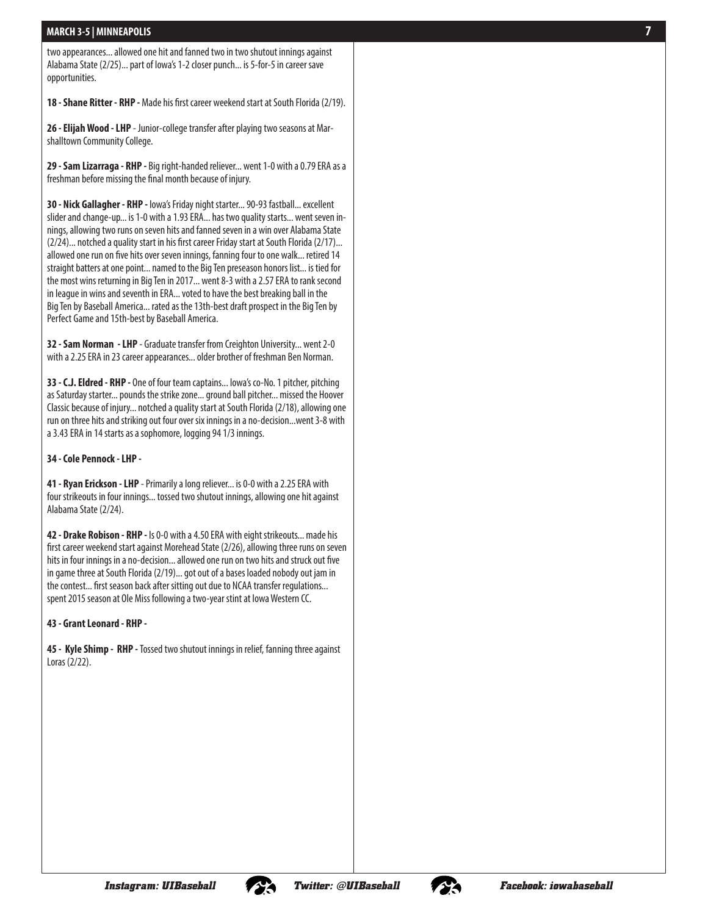two appearances... allowed one hit and fanned two in two shutout innings against Alabama State (2/25)... part of Iowa's 1-2 closer punch... is 5-for-5 in career save opportunities.

**18 - Shane Ritter - RHP -** Made his first career weekend start at South Florida (2/19).

**26 - Elijah Wood - LHP** - Junior-college transfer after playing two seasons at Mar shalltown Community College.

**29 - Sam Lizarraga - RHP -** Big right-handed reliever... went 1-0 with a 0.79 ERA as a freshman before missing the final month because of injury.

**30 - Nick Gallagher - RHP -** Iowa's Friday night starter... 90-93 fastball... excellent slider and change-up... is 1-0 with a 1.93 ERA... has two quality starts... went seven in nings, allowing two runs on seven hits and fanned seven in a win over Alabama State (2/24)... notched a quality start in his first career Friday start at South Florida (2/17)... allowed one run on five hits over seven innings, fanning four to one walk... retired 14 straight batters at one point... named to the Big Ten preseason honors list... is tied for the most wins returning in Big Ten in 2017... went 8-3 with a 2.57 ERA to rank second in league in wins and seventh in ERA... voted to have the best breaking ball in the Big Ten by Baseball America... rated as the 13th-best draft prospect in the Big Ten by Perfect Game and 15th-best by Baseball America.

**32 - Sam Norman - LHP** - Graduate transfer from Creighton University... went 2-0 with a 2.25 ERA in 23 career appearances... older brother of freshman Ben Norman.

**33 - C.J. Eldred - RHP -** One of four team captains... Iowa's co-No. 1 pitcher, pitching as Saturday starter... pounds the strike zone... ground ball pitcher... missed the Hoover Classic because of injury... notched a quality start at South Florida (2/18), allowing one run on three hits and striking out four over six innings in a no-decision...went 3-8 with a 3.43 ERA in 14 starts as a sophomore, logging 94 1/3 innings.

#### **34 - Cole Pennock - LHP -**

**41 - Ryan Erickson - LHP** - Primarily a long reliever... is 0-0 with a 2.25 ERA with four strikeouts in four innings... tossed two shutout innings, allowing one hit against Alabama State (2/24).

**42 - Drake Robison - RHP -** Is 0-0 with a 4.50 ERA with eight strikeouts... made his first career weekend start against Morehead State (2/26), allowing three runs on seven hits in four innings in a no-decision... allowed one run on two hits and struck out five in game three at South Florida (2/19)... got out of a bases loaded nobody out jam in the contest... first season back after sitting out due to NCAA transfer regulations... spent 2015 season at Ole Miss following a two-year stint at Iowa Western CC.

#### **43 - Grant Leonard - RHP -**

**45 - Kyle Shimp - RHP -** Tossed two shutout innings in relief, fanning three against Loras (2/22).



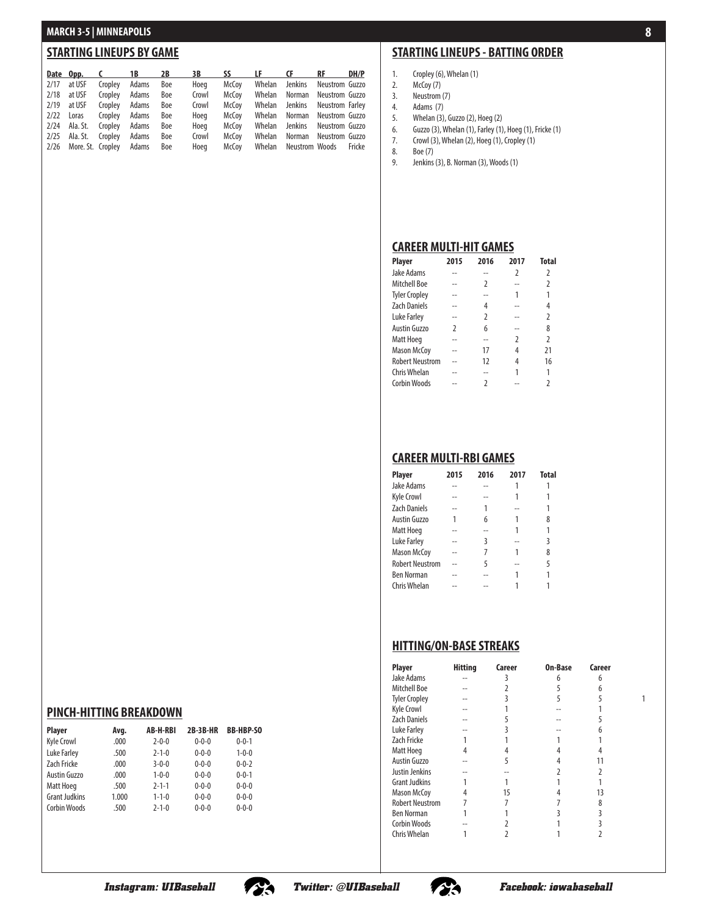#### **STARTING LINEUPS BY GAME**

|                              |               |       | Date Opp. C 1B 2B | 3B    |       | SS LF CF RF                    | DH/P |
|------------------------------|---------------|-------|-------------------|-------|-------|--------------------------------|------|
| $2/17$ at USF                | Cropley       | Adams | Boe               | Hoeg  | McCov | Whelan Jenkins Neustrom Guzzo  |      |
| $2/18$ at USF                | Cropley Adams |       | Boe               | Crowl | McCoy | Whelan Norman Neustrom Guzzo   |      |
| $2/19$ at USF                | Cropley Adams |       | Boe               | Crowl | McCoy | Whelan Jenkins Neustrom Farley |      |
| 2/22 Loras                   | Cropley Adams |       | Boe               | Hoeg  | McCov | Whelan Norman Neustrom Guzzo   |      |
| 2/24 Ala. St.                | Cropley Adams |       | Boe               | Hoeg  | McCoy | Whelan Jenkins Neustrom Guzzo  |      |
| 2/25 Ala. St.                | Cropley Adams |       | Boe               | Crowl | McCov | Whelan Norman Neustrom Guzzo   |      |
| 2/26 More. St. Cropley Adams |               |       | Boe               | Hoea  | McCov | Whelan Neustrom Woods Fricke   |      |

### **STARTING LINEUPS - BATTING ORDER**

**8**

- 1. Cropley (6), Whelan (1)
- 2. McCoy (7)
- 3. Neustrom (7)
- 4. Adams (7)
- 5. Whelan (3), Guzzo (2), Hoeg (2)
- 6. Guzzo (3), Whelan (1), Farley (1), Hoeg (1), Fricke (1) 7. Crowl (3), Whelan (2), Hoeg (1), Cropley (1)
- 7. Crowl (3<br>8. Boe (7)
- 
- 9. Jenkins (3), B. Norman (3), Woods (1)

#### **CAREER MULTI-HIT GAMES**

| <b>Player</b>          | 2015          | 2016          | 2017 | Total         |
|------------------------|---------------|---------------|------|---------------|
| Jake Adams             |               |               | 2    | 2             |
| Mitchell Boe           |               | 2             |      | 2             |
| <b>Tyler Cropley</b>   |               |               |      |               |
| <b>Zach Daniels</b>    |               | 4             |      | 4             |
| Luke Farley            |               | $\mathfrak z$ |      | $\mathfrak z$ |
| <b>Austin Guzzo</b>    | $\mathfrak z$ | 6             |      | 8             |
| Matt Hoeg              |               |               | 2    | $\mathfrak z$ |
| <b>Mason McCoy</b>     |               | 17            | 4    | 21            |
| <b>Robert Neustrom</b> |               | 12            | 4    | 16            |
| Chris Whelan           |               |               |      |               |
| <b>Corbin Woods</b>    |               |               |      |               |

#### **CAREER MULTI-RBI GAMES**

| <b>Player</b>          | 2015 | 2016 | 2017 | Total |
|------------------------|------|------|------|-------|
| Jake Adams             |      |      |      |       |
| <b>Kyle Crowl</b>      |      |      |      |       |
| <b>Zach Daniels</b>    |      |      |      |       |
| Austin Guzzo           | 1    | 6    |      | 8     |
| Matt Hoeg              |      |      |      |       |
| <b>Luke Farley</b>     |      | 3    |      | 3     |
| <b>Mason McCoy</b>     |      | 7    |      | 8     |
| <b>Robert Neustrom</b> |      | 5    |      | 5     |
| <b>Ben Norman</b>      |      |      |      |       |
| Chris Whelan           |      |      |      |       |
|                        |      |      |      |       |

### **HITTING/ON-BASE STREAKS**

| <b>Player</b>          | <b>Hitting</b> | Career | On-Base | Career |  |
|------------------------|----------------|--------|---------|--------|--|
| Jake Adams             |                |        | 6       | 6      |  |
| <b>Mitchell Boe</b>    |                |        | 5       |        |  |
| <b>Tyler Cropley</b>   |                |        | 5       |        |  |
| <b>Kyle Crowl</b>      |                |        |         |        |  |
| <b>Zach Daniels</b>    |                |        |         |        |  |
| Luke Farley            |                |        |         |        |  |
| Zach Fricke            |                |        |         |        |  |
| Matt Hoeg              | 4              |        |         |        |  |
| <b>Austin Guzzo</b>    |                |        |         |        |  |
| Justin Jenkins         |                |        |         |        |  |
| <b>Grant Judkins</b>   |                |        |         |        |  |
| <b>Mason McCoy</b>     | 4              | 15     |         | 13     |  |
| <b>Robert Neustrom</b> |                |        |         | 8      |  |
| <b>Ben Norman</b>      |                |        |         |        |  |
| <b>Corbin Woods</b>    |                |        |         |        |  |
| Chris Whelan           |                |        |         |        |  |
|                        |                |        |         |        |  |

### **PINCH-HITTING BREAKDOWN**

| <b>Player</b>        | Avg.  | <b>AB-H-RBI</b> | <b>2B-3B-HR</b> | <b>BB-HBP-SO</b> |
|----------------------|-------|-----------------|-----------------|------------------|
| <b>Kyle Crowl</b>    | .000  | $2 - 0 - 0$     | $0 - 0 - 0$     | $0 - 0 - 1$      |
| <b>Luke Farley</b>   | .500  | $2 - 1 - 0$     | $0 - 0 - 0$     | $1 - 0 - 0$      |
| <b>Zach Fricke</b>   | .000  | $3 - 0 - 0$     | $0 - 0 - 0$     | $0 - 0 - 2$      |
| Austin Guzzo         | .000  | $1 - 0 - 0$     | $0 - 0 - 0$     | $0 - 0 - 1$      |
| Matt Hoeg            | .500  | $2 - 1 - 1$     | $0 - 0 - 0$     | $0 - 0 - 0$      |
| <b>Grant Judkins</b> | 1.000 | $1 - 1 - 0$     | $0 - 0 - 0$     | $0 - 0 - 0$      |
| <b>Corbin Woods</b>  | .500  | $2 - 1 - 0$     | $0 - 0 - 0$     | $0 - 0 - 0$      |



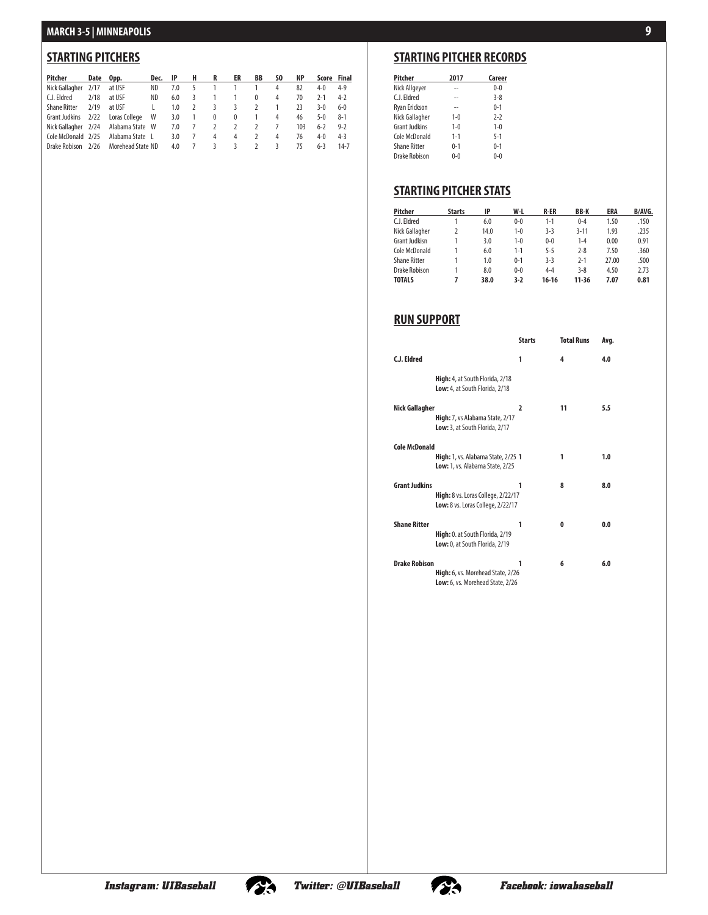### **STARTING PITCHERS**

| Pitcher             | Date Opp. |                   |              | Dec. IP H |                | R      | ER             | BB             | SO. | <b>NP</b> | Score Final |         |
|---------------------|-----------|-------------------|--------------|-----------|----------------|--------|----------------|----------------|-----|-----------|-------------|---------|
| Nick Gallagher      | 2/17      | at USF            | ND.          | 7.0       |                |        | 1              |                | 4   | 82        | $4 - 0$     | $4 - 9$ |
| C.J. Eldred         | 2/18      | at USF            | ND.          | 6.0       | 3              | -1.    | $\mathbf{1}$   | $\mathbf{0}$   | 4   | 70        | $2 - 1$     | $4-2$   |
| <b>Shane Ritter</b> | 2/19      | at USF            | $\mathbf{L}$ | 1.0       | 2              | 3      | -3             | 2              |     | 23        | 3-0         | $6-0$   |
| Grant Judkins       | 2/22      | Loras College     | <b>W</b>     | 3.0       | $\overline{1}$ | $^{0}$ | $^{0}$         | $\overline{1}$ | 4   | 46        | $5-0$       | $8-1$   |
| Nick Gallagher 2/24 |           | Alabama State W   |              | 7.0       |                |        | $\overline{2}$ | 2              |     | 103       | $6 - 2$     | $9 - 2$ |
| Cole McDonald 2/25  |           | Alabama State L   |              | 3.0       | 7              | 4      | 4              | 2              | 4   | 76        | $4 - 0$     | $4 - 3$ |
| Drake Robison       | 2/26      | Morehead State ND |              | 4.0       |                | 3      | 3              | $\mathcal{L}$  | 3   | 75        | $6-3$       | 14-7    |

### **STARTING PITCHER RECORDS**

| Pitcher             | 2017    | Career  |
|---------------------|---------|---------|
| Nick Allgeyer       |         | $0 - 0$ |
| C.J. Eldred         | --      | $3 - 8$ |
| Ryan Erickson       | --      | $0 - 1$ |
| Nick Gallagher      | $1 - 0$ | $2-2$   |
| Grant Judkins       | $1 - 0$ | $1 - 0$ |
| Cole McDonald       | $1 - 1$ | $5-1$   |
| <b>Shane Ritter</b> | $0 - 1$ | $0 - 1$ |
| Drake Robison       | 0-0     | በ-በ     |

### **STARTING PITCHER STATS**

| Pitcher             | <b>Starts</b> | IP   | W-L     | <b>R-ER</b> | <b>BB-K</b> | ERA   | B/AVG. |
|---------------------|---------------|------|---------|-------------|-------------|-------|--------|
| C.J. Eldred         |               | 6.0  | $0 - 0$ | $1 - 1$     | $0 - 4$     | 1.50  | .150   |
| Nick Gallagher      | 2             | 14.0 | $1 - 0$ | $3-3$       | $3 - 11$    | 1.93  | .235   |
| Grant Judkisn       |               | 3.0  | $1 - 0$ | $0 - 0$     | $1 - 4$     | 0.00  | 0.91   |
| Cole McDonald       |               | 6.0  | $1 - 1$ | $5 - 5$     | $2 - 8$     | 7.50  | .360   |
| <b>Shane Ritter</b> |               | 1.0  | $0 - 1$ | $3-3$       | $2 - 1$     | 27.00 | .500   |
| Drake Robison       |               | 8.0  | $0 - 0$ | $4 - 4$     | $3 - 8$     | 4.50  | 2.73   |
| <b>TOTALS</b>       | 7             | 38.0 | $3-2$   | $16-16$     | $11 - 36$   | 7.07  | 0.81   |

### **RUN SUPPORT**

|                      |                                                                              | <b>Starts</b>  | <b>Total Runs</b> | Ava. |
|----------------------|------------------------------------------------------------------------------|----------------|-------------------|------|
| C.J. Eldred          |                                                                              | 1              | 4                 | 4.0  |
|                      | High: 4, at South Florida, 2/18<br>Low: 4, at South Florida, 2/18            |                |                   |      |
| Nick Gallagher       | High: 7, vs Alabama State, 2/17<br>Low: 3, at South Florida, 2/17            | $\overline{2}$ | 11                | 5.5  |
| <b>Cole McDonald</b> | High: 1, vs. Alabama State, 2/25 1<br><b>Low:</b> 1, vs. Alabama State, 2/25 |                | 1                 | 1.0  |
| <b>Grant Judkins</b> | High: 8 vs. Loras College, 2/22/17<br>Low: 8 vs. Loras College, 2/22/17      | 1              | 8                 | 8.0  |
| <b>Shane Ritter</b>  | High: 0. at South Florida, 2/19<br>Low: 0, at South Florida, 2/19            | 1              | 0                 | 0.0  |
| <b>Drake Robison</b> | High: 6, vs. Morehead State, 2/26<br>Low: 6, vs. Morehead State, 2/26        | 1              | 6                 | 6.0  |



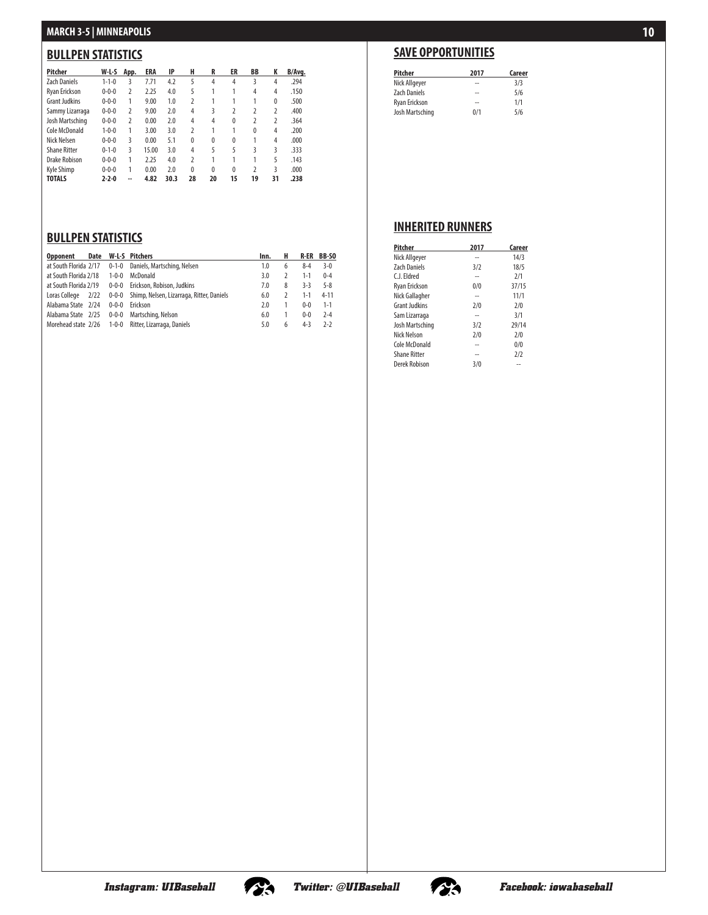### **BULLPEN STATISTICS**

| Pitcher              | W-L-S       | App.           | ERA   | IP   | н              | R            | ER           | <b>BB</b>      | K            | B/Avg. |
|----------------------|-------------|----------------|-------|------|----------------|--------------|--------------|----------------|--------------|--------|
| <b>Zach Daniels</b>  | $1 - 1 - 0$ | 3              | 7.71  | 4.2  | 5              | 4            | 4            | 3              | 4            | .294   |
| Ryan Erickson        | $0 - 0 - 0$ | $\overline{2}$ | 2.25  | 4.0  | 5              |              | 1            | 4              | 4            | .150   |
| <b>Grant Judkins</b> | $0 - 0 - 0$ | 1              | 9.00  | 1.0  | 2              |              |              |                | $\mathbf{0}$ | .500   |
| Sammy Lizarraga      | $0 - 0 - 0$ | $\overline{2}$ | 9.00  | 2.0  | 4              | 3            | 2            | $\overline{2}$ | 2            | .400   |
| Josh Martsching      | $0 - 0 - 0$ | $\overline{2}$ | 0.00  | 2.0  | 4              | 4            | $\mathbf{0}$ | $\mathfrak z$  | 2            | .364   |
| Cole McDonald        | $1 - 0 - 0$ | 1              | 3.00  | 3.0  | 2              |              | 1            | 0              | 4            | .200   |
| Nick Nelsen          | $0 - 0 - 0$ | 3              | 0.00  | 5.1  | $\mathbf{0}$   | $\mathbf{0}$ | $\Omega$     | 1              | 4            | .000   |
| <b>Shane Ritter</b>  | $0 - 1 - 0$ | 3              | 15.00 | 3.0  | 4              | 5            | 5            | ξ              | 3            | .333   |
| Drake Robison        | $0 - 0 - 0$ | 1              | 2.25  | 4.0  | $\overline{2}$ |              | 1            | 1              | 5            | .143   |
| <b>Kyle Shimp</b>    | $0 - 0 - 0$ | 1              | 0.00  | 2.0  | $\mathbf{0}$   | $\mathbf{0}$ | $\mathbf{0}$ | $\overline{2}$ | 3            | .000   |
| <b>TOTALS</b>        | $2 - 2 - 0$ | --             | 4.82  | 30.3 | 28             | 20           | 15           | 19             | 31           | .238   |

### **BULLPEN STATISTICS**

| <b>Opponent</b>       | Date |             | <b>W-L-S</b> Pitchers                           | Inn. | н | R-ER    | BB-SO    |
|-----------------------|------|-------------|-------------------------------------------------|------|---|---------|----------|
| at South Florida 2/17 |      |             | 0-1-0 Daniels, Martsching, Nelsen               | 1.0  | 6 | $8 - 4$ | $3-0$    |
| at South Florida 2/18 |      | $1 - 0 - 0$ | McDonald                                        | 3.0  |   | $1 - 1$ | $0 - 4$  |
| at South Florida 2/19 |      |             | 0-0-0 Erickson, Robison, Judkins                | 7.0  | 8 | $3-3$   | $5 - 8$  |
| Loras College 2/22    |      |             | 0-0-0 Shimp, Nelsen, Lizarraga, Ritter, Daniels | 6.0  |   | $1 - 1$ | $4 - 11$ |
| Alabama State 2/24    |      |             | 0-0-0 Erickson                                  | 2.0  |   | $0 - 0$ | $1 - 1$  |
| Alabama State 2/25    |      |             | 0-0-0 Martsching, Nelson                        | 6.0  |   | $0 - 0$ | $2 - 4$  |
| Morehead state 2/26   |      |             | 1-0-0 Ritter, Lizarraga, Daniels                | 5.0  | h | $4 - 3$ | $2-2$    |

## **SAVE OPPORTUNITIES**

| Pitcher              | 2017 | Career |
|----------------------|------|--------|
| Nick Allgeyer        | --   | 3/3    |
| <b>Zach Daniels</b>  | --   | 5/6    |
| <b>Ryan Erickson</b> | $-$  | 1/1    |
| Josh Martsching      | 0/1  | 5/6    |

### **INHERITED RUNNERS**

| Pitcher              | 2017 | Career |
|----------------------|------|--------|
| Nick Allgeyer        |      | 14/3   |
| <b>Zach Daniels</b>  | 3/2  | 18/5   |
| C I Fldred           | --   | 2/1    |
| Ryan Erickson        | 0/0  | 37/15  |
| Nick Gallagher       | --   | 11/1   |
| <b>Grant Judkins</b> | 2/0  | 2/0    |
| Sam Lizarraga        |      | 3/1    |
| Josh Martsching      | 3/2  | 29/14  |
| Nick Nelson          | 2/0  | 2/0    |
| Cole McDonald        |      | 0/0    |
| <b>Shane Ritter</b>  | --   | 2/2    |
| Derek Robison        | 3/0  | --     |





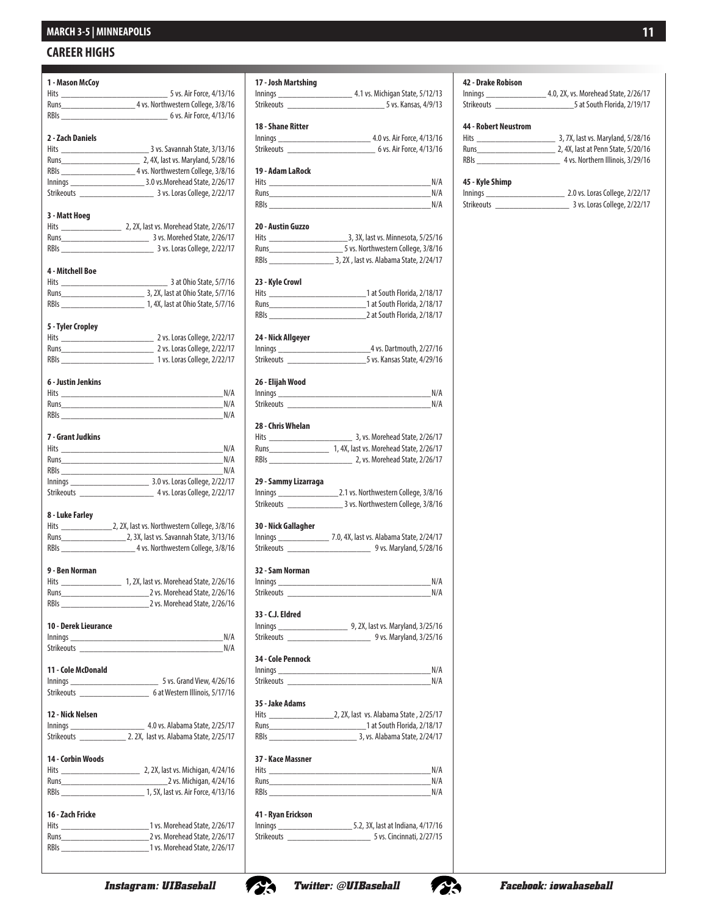#### **CAREER HIGHS**

| 1 - Mason McCoy      |                                         |
|----------------------|-----------------------------------------|
|                      |                                         |
|                      |                                         |
| RBIs                 | 6 vs. Air Force, 4/13/16                |
|                      |                                         |
| 2 - Zach Daniels     |                                         |
|                      |                                         |
|                      |                                         |
|                      | RBIs 4 vs. Northwestern College, 3/8/16 |
|                      |                                         |
|                      |                                         |
| 3 - Matt Hoeg        |                                         |
|                      |                                         |
|                      |                                         |
|                      |                                         |
|                      |                                         |
| 4 - Mitchell Boe     |                                         |
|                      |                                         |
|                      |                                         |
|                      |                                         |
|                      |                                         |
| 5 - Tyler Cropley    |                                         |
|                      |                                         |
|                      |                                         |
|                      |                                         |
| 6 - Justin Jenkins   |                                         |
|                      |                                         |
|                      |                                         |
| RBIs                 | N/A                                     |
|                      |                                         |
| 7 - Grant Judkins    |                                         |
|                      | Hits N/A                                |
|                      |                                         |
|                      |                                         |
|                      | N/A                                     |
|                      |                                         |
|                      |                                         |
|                      |                                         |
| 8 - Luke Farley      |                                         |
|                      |                                         |
|                      |                                         |
|                      |                                         |
| 9 - Ben Norman       |                                         |
|                      |                                         |
|                      |                                         |
|                      |                                         |
|                      |                                         |
| 10 - Derek Lieurance |                                         |
|                      |                                         |
| Strikeouts           |                                         |
|                      |                                         |
| 11 - Cole McDonald   |                                         |
|                      |                                         |
|                      |                                         |
|                      |                                         |
| 12 - Nick Nelsen     |                                         |
|                      |                                         |
|                      |                                         |
| 14 - Corbin Woods    |                                         |
|                      |                                         |
|                      |                                         |
|                      |                                         |
|                      |                                         |
| 16 - Zach Fricke     |                                         |
|                      |                                         |
|                      |                                         |
|                      |                                         |

| 17 - Josh Martshing  |                                              |
|----------------------|----------------------------------------------|
|                      |                                              |
|                      | Strikeouts 5 vs. Kansas, 4/9/13              |
| 18 - Shane Ritter    |                                              |
|                      |                                              |
|                      |                                              |
|                      |                                              |
| 19 - Adam LaRock     |                                              |
|                      | Hits N/A<br>N/A                              |
|                      | N/A                                          |
|                      |                                              |
| 20 - Austin Guzzo    |                                              |
|                      |                                              |
|                      |                                              |
|                      |                                              |
| 23 - Kyle Crowl      |                                              |
|                      |                                              |
|                      |                                              |
|                      |                                              |
|                      |                                              |
| 24 - Nick Allgeyer   |                                              |
|                      |                                              |
|                      |                                              |
| 26 - Elijah Wood     |                                              |
|                      | Innings N/A                                  |
|                      | Strikeouts N/A                               |
| 28 - Chris Whelan    |                                              |
|                      | 3, vs. Morehead State, 2/26/17               |
|                      | Runs 1, 4X, last vs. Morehead State, 2/26/17 |
|                      |                                              |
| 29 - Sammy Lizarraga |                                              |
|                      |                                              |
|                      |                                              |
|                      |                                              |
| 30 - Nick Gallagher  |                                              |
|                      |                                              |
|                      |                                              |
| 32 - Sam Norman      |                                              |
| Innings              | N/A                                          |
|                      | N/A                                          |
| 33 - C.J. Eldred     |                                              |
|                      |                                              |
|                      |                                              |
|                      |                                              |
| 34 - Cole Pennock    |                                              |
|                      | Innings N/A                                  |
|                      | Strikeouts N/A                               |
| 35 - Jake Adams      |                                              |
|                      |                                              |
|                      |                                              |
|                      |                                              |
| 37 - Kace Massner    |                                              |
|                      |                                              |
|                      | N/A<br><b>Runs Runs <i>Runs Runs</i></b>     |
|                      | RBIs N/A                                     |
|                      |                                              |
| 41 - Ryan Erickson   |                                              |
|                      | Strikeouts 5 vs. Cincinnati, 2/27/15         |
|                      |                                              |

**42 - Drake Robison** Innings \_\_\_\_\_\_\_\_\_\_\_\_\_ 4.0, 2X, vs. Morehead State, 2/26/17  $\_$ 5 at South Florida, 2/19/17 **44 - Robert Neustrom** 13, 7X, last vs. Maryland, 5/28/16 Runs\_\_\_\_\_\_\_\_\_\_\_\_\_\_\_\_\_ 2, 4X, last at Penn State, 5/20/16  $\frac{1}{2}$  4 vs. Northern Illinois, 3/29/16 **45 - Kyle Shimp** 1011 2.0 vs. Loras College, 2/22/17 Strikeouts \_\_\_\_\_\_\_\_\_\_\_\_\_\_\_\_ 3 vs. Loras College, 2/22/17



*Instagram: UIBaseball Twitter: @UIBaseball Facebook: iowabaseball*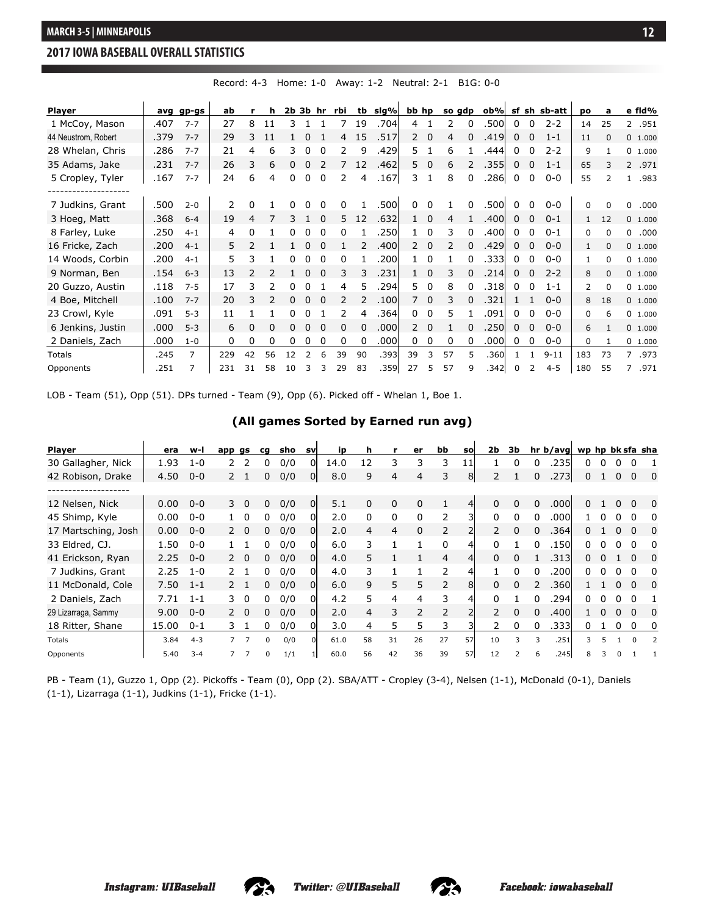#### **Overall Statistics for IOWA (as of Feb 26, 2017) (All games Sorted by Batting avg) 2017 IOWA BASEBALL OVERALL STATISTICS**

| Player              |      | avg gp-gs      | ab  |          | h  | $2b$ 3 $b$ hr |          |          | rbi           |    | tb sig% | bb hp                     |          |    | so gdp       | ob%   |             |                | sf sh sb-att | po             | a           | e fid%                 |
|---------------------|------|----------------|-----|----------|----|---------------|----------|----------|---------------|----|---------|---------------------------|----------|----|--------------|-------|-------------|----------------|--------------|----------------|-------------|------------------------|
| 1 McCoy, Mason      | .407 | $7 - 7$        | 27  | 8        | 11 | 3.            |          |          |               | 19 | .704    | 4                         |          | 2  | 0            | .500  | 0           | 0              | $2 - 2$      | 14             | 25          | 2.951                  |
| 44 Neustrom, Robert | .379 | $7 - 7$        | 29  | 3        | 11 |               |          |          | 4             | 15 | .517    | $\mathsf{2}^{\mathsf{1}}$ | 0        | 4  | O            | .419  | $\mathbf 0$ | 0              | $1 - 1$      | 11             | $\Omega$    | 0 1.000                |
| 28 Whelan, Chris    | .286 | $7 - 7$        | 21  | 4        | 6  | 3             |          | 0        | 2             | 9  | .429    | 5.                        |          | 6  |              | .444  | 0           | 0              | $2 - 2$      | 9              | 1           | 0 1.000                |
| 35 Adams, Jake      | .231 | $7 - 7$        | 26  | 3        | 6  | 0             |          |          |               | 12 | .462    | 5.                        | 0        | 6  | 2            | .355  | 0           | 0              | $1 - 1$      | 65             | 3           | $2^{\circ}$<br>.971    |
| 5 Cropley, Tyler    | .167 | $7 - 7$        | 24  | 6        | 4  | 0             | $\Omega$ | 0        | 2             | 4  | .167    | 3                         |          | 8  | 0            | .286  | 0           | 0              | $0 - 0$      | 55             | 2           | .983<br>$\mathbf{1}$   |
| 7 Judkins, Grant    | .500 | $2 - 0$        | 2   | $\Omega$ |    |               |          |          | 0             |    | .500    |                           | $\Omega$ |    | <sup>0</sup> | .500  | $\Omega$    | O              | $0 - 0$      | 0              | 0           | $\Omega$<br>.000       |
| 3 Hoeg, Matt        | .368 | $6 - 4$        | 19  | 4        |    |               |          | $\Omega$ | 5             | 12 | .632    |                           | $\Omega$ | 4  |              | .400  | 0           | 0              | $0 - 1$      | 1              | 12          | 0 1.000                |
| 8 Farley, Luke      | .250 | $4 - 1$        | 4   | 0        |    | 0             |          | 0        | 0             |    | .250    |                           | 0        | 3  | 0            | .400  | 0           | 0              | $0 - 1$      | 0              | $\Omega$    | $\Omega$<br>.000       |
| 16 Fricke, Zach     | .200 | $4 - 1$        | 5   | 2        |    |               |          |          |               |    | .400l   | 2                         | 0        | 2  | 0            | .429  | 0           | 0              | $0 - 0$      | 1              | $\mathbf 0$ | 0 1.000                |
| 14 Woods, Corbin    | .200 | $4 - 1$        | 5   | 3        |    |               |          | $\Omega$ | 0             |    | .200l   |                           | $\Omega$ |    | 0            | .3331 | 0           | 0              | $0 - 0$      | 1              | 0           | 0, 1.000               |
| 9 Norman, Ben       | .154 | $6 - 3$        | 13  |          |    |               |          |          | 3             | 3  | .231    |                           | $\Omega$ | 3  | 0            | .214  | 0           | 0              | $2 - 2$      | 8              | $\Omega$    | 0, 1,000               |
| 20 Guzzo, Austin    | .118 | $7 - 5$        | 17  | 3        | 2  | U             |          |          | 4             | 5  | .294    | 5.                        | 0        | 8  | O            | .318  | $\Omega$    | 0              | $1 - 1$      | $\overline{2}$ | $\Omega$    | 0 1.000                |
| 4 Boe, Mitchell     | .100 | $7 - 7$        | 20  | 3        | 2  | 0             | 0        | $\Omega$ | $\mathcal{P}$ |    | .100    | $\overline{7}$            | $\Omega$ | 3  | 0            | .321  |             | 1              | $0 - 0$      | 8              | 18          | 0, 1,000               |
| 23 Crowl, Kyle      | .091 | $5 - 3$        | 11  |          |    | 0             |          |          | 2             | 4  | .364    | $\Omega$                  | 0        | 5  |              | .091  | $\Omega$    | 0              | $0 - 0$      | 0              | 6           | 0 1.000                |
| 6 Jenkins, Justin   | .000 | $5 - 3$        | 6   |          | 0  |               |          |          | 0             | 0  | .000    | $\mathbf{2}$              | $\Omega$ |    | 0            | .250  | 0           | 0              | $0 - 0$      | 6              |             | 0 1.000                |
| 2 Daniels, Zach     | .000 | $1 - 0$        | 0   | 0        | 0  | 0             |          | 0        | 0             | 0  | .000    | 0                         | 0        | 0  | 0            | .000  | 0           | 0              | $0-0$        | 0              |             | 0 1.000                |
| <b>Totals</b>       | .245 | $\overline{7}$ | 229 | 42       | 56 | 12            |          | 6        | 39            | 90 | .393    | 39                        | 3        | 57 | 5            | .360  |             |                | $9 - 11$     | 183            | 73          | $7^{\circ}$<br>.973    |
| Opponents           | .251 | $\overline{7}$ | 231 | 31       | 58 | 10            |          |          | 29            | 83 | .359    | 27                        | 5        | 57 | 9            | .342  |             | $\overline{2}$ | $4 - 5$      | 180            | 55          | $\overline{7}$<br>.971 |

Record: 4-3 Home: 1-0 Away: 1-2 Neutral: 2-1 B1G: 0-0

LOB - Team (51), Opp (51). DPs turned - Team (9), Opp (6). Picked off - Whelan 1, Boe 1.

#### **(All games Sorted by Earned run avg)**

| <b>Player</b>       | era   | w-l     | app gs        |                | cq | sho | svl | ip   | h        | r  | er       | bb             | <b>SO</b>      | 2b            | 3b           |              | hr b/avg wp hp bk sfa sha |    |   |              |              |                          |
|---------------------|-------|---------|---------------|----------------|----|-----|-----|------|----------|----|----------|----------------|----------------|---------------|--------------|--------------|---------------------------|----|---|--------------|--------------|--------------------------|
| 30 Gallagher, Nick  | 1.93  | $1 - 0$ | 2             | $\mathcal{P}$  | 0  | 0/0 | 01  | 14.0 | 12       | 3  | 3        | 3              | 11             |               | 0            | 0            | .2351                     | 0  | 0 | 0            |              |                          |
| 42 Robison, Drake   | 4.50  | $0 - 0$ |               | 2 <sub>1</sub> | 0  | 0/0 | 0l  | 8.0  | 9        | 4  | 4        | 3              | 8 <sup>1</sup> | $\mathcal{P}$ |              |              | .273                      | 0  |   | 0            | 0            | $\mathbf 0$              |
|                     |       |         |               |                |    |     |     |      |          |    |          |                |                |               |              |              |                           |    |   |              |              |                          |
| 12 Nelsen, Nick     | 0.00  | $0 - 0$ |               | $3 \quad 0$    | 0  | 0/0 | 01  | 5.1  | 0        | 0  | $\Omega$ | 1              | 41             | $\Omega$      | $\Omega$     | $\Omega$     | .000l                     | n. |   | 0            | $\Omega$     | $\Omega$                 |
| 45 Shimp, Kyle      | 0.00  | $0 - 0$ |               |                | 0  | 0/0 | ΩI  | 2.0  | $\Omega$ | 0  | 0        | 2              |                | $\Omega$      |              |              | .000l                     |    |   |              |              | 0                        |
| 17 Martsching, Josh | 0.00  | $0 - 0$ | $\mathcal{P}$ | $\Omega$       | 0  | 0/0 | 01  | 2.0  | 4        | 4  | $\Omega$ | $\overline{2}$ |                |               | $\Omega$     |              | .364                      | 0  |   |              | $\Omega$     | 0                        |
| 33 Eldred, CJ.      | 1.50  | $0 - 0$ |               |                | 0  | 0/0 | ΩI  | 6.0  | 3        |    |          | 0              | 4              | $\Omega$      |              | $\Omega$     | .150                      | n. |   | <sup>n</sup> | O            | 0                        |
| 41 Erickson, Ryan   | 2.25  | $0 - 0$ |               | 20             | 0. | 0/0 | 0l  | 4.0  | 5.       |    |          | $\overline{4}$ | 4              | $\Omega$      |              |              | .3131                     | 0  |   |              | <sup>0</sup> | 0                        |
| 7 Judkins, Grant    | 2.25  | $1 - 0$ |               |                | 0  | 0/0 | ΩI  | 4.0  | 3        |    |          | $\mathcal{P}$  | 4              |               | <sup>0</sup> | <sup>0</sup> | .200l                     | n. |   |              |              | 0                        |
| 11 McDonald, Cole   | 7.50  | $1 - 1$ |               |                | 0  | 0/0 | 01  | 6.0  | 9        | 5  | 5        | 2              | 8              | $\Omega$      | $\Omega$     |              | .360                      |    |   | <sup>n</sup> | <sup>0</sup> | $\Omega$                 |
| 2 Daniels, Zach     | 7.71  | $1 - 1$ | 3.            | $\Omega$       | n  | 0/0 | 01  | 4.2  | 5        | 4  | 4        | 3              | 4              | <sup>0</sup>  |              |              | .294                      | n. |   |              | <sup>0</sup> |                          |
| 29 Lizarraga, Sammy | 9.00  | $0 - 0$ |               | 2 0            | 0  | 0/0 | ΩI  | 2.0  | 4        | 3  | 2        | $\overline{2}$ |                |               | 0            |              | .400                      |    |   |              |              | 0                        |
| 18 Ritter, Shane    | 15.00 | $0 - 1$ | 3.            |                | 0  | 0/0 | 01  | 3.0  | 4        | 5  | 5        | 3              |                |               | 0            |              | .333                      | 0  |   | 0            | 0            | 0                        |
| Totals              | 3.84  | $4 - 3$ |               | ⇁              | U  | 0/0 | ΩI  | 61.0 | 58       | 31 | 26       | 27             | 57             | 10            | 3            | 3            | .251                      | 3  | 5 |              | $\Omega$     | $\overline{\phantom{a}}$ |
| Opponents           | 5.40  | $3 - 4$ |               |                | U  | 1/1 |     | 60.0 | 56       | 42 | 36       | 39             | 57             | 12            |              |              | .245                      |    |   |              |              |                          |

PB - Team (1), Guzzo 1, Opp (2). Pickoffs - Team (0), Opp (2). SBA/ATT - Cropley (3-4), Nelsen (1-1), McDonald (0-1), Daniels (1-1), Lizarraga (1-1), Judkins (1-1), Fricke (1-1).





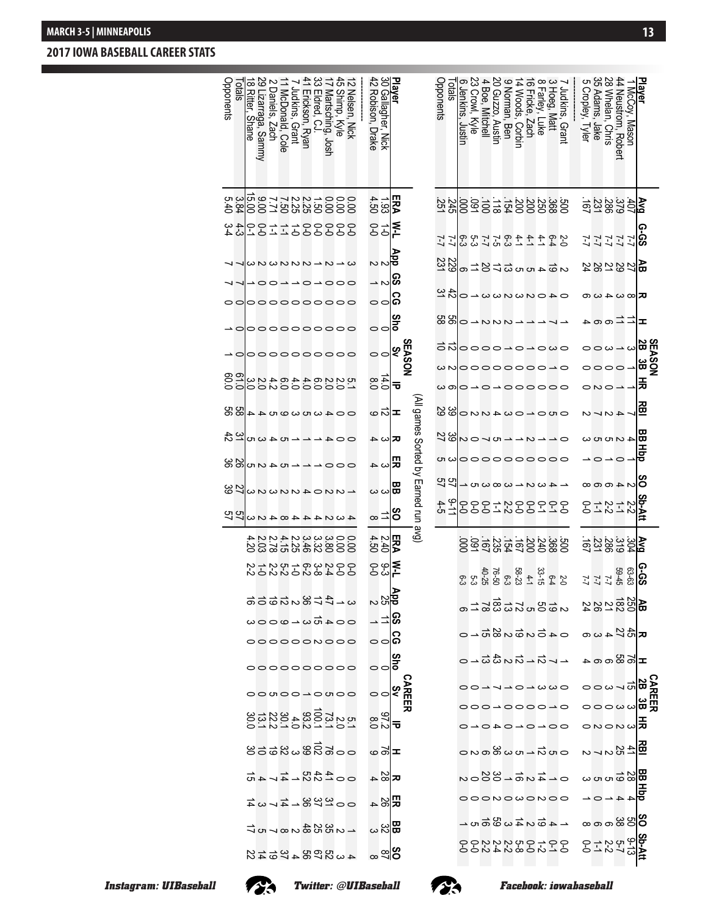### **2017 IOWA BASEBALL CAREER STATS**

|                                                     |                                 |                                                     |                                                   |                                       |                     |              |                           |                                                   |                   |                                                                |                   |                                     |                                     |                     |                                           |                        |                                                   |            |               | $285 - 2000$            |                                         |                                        |                  |            |                  |                                   |
|-----------------------------------------------------|---------------------------------|-----------------------------------------------------|---------------------------------------------------|---------------------------------------|---------------------|--------------|---------------------------|---------------------------------------------------|-------------------|----------------------------------------------------------------|-------------------|-------------------------------------|-------------------------------------|---------------------|-------------------------------------------|------------------------|---------------------------------------------------|------------|---------------|-------------------------|-----------------------------------------|----------------------------------------|------------------|------------|------------------|-----------------------------------|
|                                                     |                                 |                                                     |                                                   |                                       | ᆂ                   |              | ឌ                         | 폸                                                 | 끊                 | 멺                                                              | 흉                 | ဒိ                                  | inAtt                               |                     | ခု-၁<br>မြ                                |                        |                                                   |            |               |                         |                                         |                                        |                  |            |                  |                                   |
| McCoy,<br>Mason                                     |                                 |                                                     |                                                   |                                       | $=$ $=$ $=$ $=$ $=$ |              | $\circ \omega - \omega$   |                                                   |                   | 40000                                                          |                   | $\alpha$ $\alpha$ $\alpha$ $\alpha$ | 2-2<br>2-2<br>2-2                   |                     | $63-63$                                   |                        |                                                   |            |               |                         |                                         |                                        |                  |            |                  |                                   |
| Neustrom, Rober                                     |                                 |                                                     |                                                   |                                       |                     |              | $\circ$                   |                                                   |                   |                                                                |                   |                                     |                                     |                     |                                           |                        |                                                   |            |               |                         |                                         |                                        |                  |            |                  |                                   |
| Whelan, Chris                                       |                                 |                                                     |                                                   |                                       |                     |              |                           |                                                   | 401               |                                                                |                   |                                     |                                     |                     |                                           |                        |                                                   |            |               |                         |                                         |                                        |                  |            |                  |                                   |
| 28 Whelan, Chris<br>35 Adams, Jake                  |                                 |                                                     |                                                   |                                       |                     |              |                           | $-0$ $\sim$                                       |                   |                                                                | ⊸⊂⊸⊂              |                                     |                                     |                     |                                           |                        |                                                   |            |               |                         |                                         |                                        |                  |            |                  |                                   |
| ပာ<br>Cropley, Tyler                                | $\frac{145}{25582225}$          | 2<br>22222 <mark>06</mark><br>22222 <mark>06</mark> | <b>영</b> 성정성성                                     | $\mathbf{K}$  თ $\omega$ 4 $\omega$ დ |                     |              |                           |                                                   |                   |                                                                |                   |                                     |                                     |                     | $222$<br>$222$<br>$222$<br>$222$<br>$222$ | <b>ส</b> ์8្រីន៍ 2 និង | $\mathbf{K}$   გე $\boldsymbol{\mathcal{C}}$ 4 ოდ |            | ு∞ஃ⊫          |                         | <u>៰៷៰៷</u> ៰ឣ៓៓                        | $\frac{1}{2}$ 는 있 $\sim$ $\sim$ $\sim$ | ៳៙៙ <i>៰</i> ៰៰៷ |            | ෙගේ සමු ප        | <b>ვი</b><br>სასელება<br>ჯევას ქე |
| Judkins, Grant                                      |                                 |                                                     |                                                   |                                       |                     |              |                           |                                                   |                   |                                                                |                   |                                     |                                     |                     |                                           |                        |                                                   |            |               |                         |                                         |                                        |                  |            |                  |                                   |
| ယ<br>. Matt                                         |                                 |                                                     |                                                   |                                       |                     |              |                           |                                                   |                   |                                                                |                   |                                     |                                     |                     |                                           |                        |                                                   |            |               |                         |                                         |                                        |                  |            |                  |                                   |
| $\infty$<br>Farley, Luke                            |                                 |                                                     |                                                   |                                       |                     |              |                           |                                                   |                   |                                                                |                   |                                     |                                     |                     |                                           |                        |                                                   |            |               |                         |                                         |                                        |                  |            |                  |                                   |
| $\overline{\sigma}$<br>Fricke, Zach                 |                                 | というじょうじょうしょう                                        | 2000 125599462                                    | 0402828840万1                          |                     |              | owoooo-o-owo<br>∞∾∞°°°°°° | $\omega$ olo $\rightarrow$ o $\rightarrow$ oooooo | ono-ow4uuo 38     | $\rightarrow$ $\rightarrow$ $\rightarrow$ $\rightarrow$ $\sim$ | 000000000000      |                                     | 99972999779                         | 88886658888         |                                           | ៰៑៷ឨ៝៝៝៝៝៝៰៶៷៓៓ឨ៰៷     | 045000000000000                                   |            | $-5.5 - 5.08$ | $0 0 1 1 0 1 0 0 0 0 0$ | $000 - 0000 - 0$<br>$0 - 0 - 0 - 0 - 0$ | $0.54 - 0.08$                          | $0 - 208 - 880$  | OOONOWONOO | - តាំងយូតូមា     | 00-00000000<br>0-000000000        |
| 14 Woods, Corbin                                    |                                 |                                                     |                                                   |                                       |                     |              |                           |                                                   |                   |                                                                |                   |                                     |                                     |                     |                                           |                        |                                                   |            |               |                         |                                         |                                        |                  |            |                  |                                   |
| $\circ$<br>Norman, Ben                              |                                 |                                                     |                                                   |                                       |                     |              |                           |                                                   |                   |                                                                |                   |                                     |                                     |                     |                                           |                        |                                                   |            |               |                         |                                         |                                        |                  |            |                  |                                   |
| Guzzo, Austir                                       |                                 |                                                     |                                                   |                                       |                     |              |                           |                                                   |                   |                                                                |                   |                                     |                                     |                     |                                           |                        |                                                   |            |               |                         |                                         |                                        |                  |            |                  |                                   |
| Boe, Mitchel                                        |                                 |                                                     |                                                   |                                       | $890 - NNN -$       |              |                           |                                                   |                   | Larougus                                                       |                   |                                     |                                     |                     |                                           |                        |                                                   |            |               |                         |                                         |                                        |                  |            |                  |                                   |
| Crowl, Kyle                                         |                                 |                                                     |                                                   |                                       |                     |              |                           |                                                   |                   |                                                                |                   |                                     |                                     |                     |                                           |                        |                                                   |            |               |                         |                                         |                                        |                  |            |                  |                                   |
| Jenkins, Justin                                     |                                 |                                                     |                                                   |                                       |                     |              |                           |                                                   |                   |                                                                |                   |                                     |                                     |                     |                                           |                        |                                                   |            |               |                         |                                         |                                        |                  |            |                  |                                   |
| <b>Totals</b>                                       |                                 |                                                     |                                                   |                                       |                     |              |                           |                                                   |                   |                                                                |                   |                                     |                                     |                     |                                           |                        |                                                   |            |               |                         |                                         |                                        |                  |            |                  |                                   |
| Opponents                                           |                                 |                                                     |                                                   |                                       |                     |              |                           |                                                   |                   |                                                                |                   |                                     | 일국                                  |                     |                                           |                        |                                                   |            |               |                         |                                         |                                        |                  |            |                  |                                   |
|                                                     |                                 |                                                     |                                                   |                                       |                     |              |                           |                                                   |                   |                                                                |                   |                                     | All games Sorted by Earned run avg) |                     |                                           |                        |                                                   |            |               |                         |                                         |                                        |                  |            |                  |                                   |
|                                                     |                                 |                                                     |                                                   | န္တ                                   |                     | <b>Sho</b>   | <b>SEASON</b><br>Sv       | ᠊ᠣ                                                |                   |                                                                |                   |                                     | ပိ                                  | ERA                 |                                           |                        |                                                   |            |               | CAREER<br>SV            |                                         |                                        |                  |            |                  |                                   |
| Player<br>30 Gallagher, <sup>N</sup><br><b>Nick</b> | $\frac{12}{38}$                 | 오 <u>위</u> 는                                        | ಕ್ರೆಸ್ ಸ                                          | ∸ N                                   | ခြေ                 | 00           | $\circ$                   |                                                   | ত⊠≖               | ⊏∣ω ⊣                                                          | ᄆᆈᆹᇯ              | ᇜᇝᇝ                                 |                                     | $\frac{2.40}{4.50}$ | င္ ဖု∣ <b>≲</b><br>၁ ္တု−                 |                        | ″≍¦ຮ                                              | ခြင်္စ     | ႜႜႜႜႝၘၘ       | $\circ$                 |                                         | ധി≖                                    | ᄝᅇᆞ              | 메이         |                  | ∞ఇ∣న                              |
| 42<br>Robison, Drake                                |                                 |                                                     |                                                   |                                       |                     |              |                           | $\frac{4.0}{8.0}$                                 |                   |                                                                |                   |                                     | $\infty$ $\overline{\phantom{0}}$   |                     |                                           |                        |                                                   |            |               |                         | $\frac{972}{8.0}$                       |                                        |                  |            | <b>⊞</b> ಜ ದ     |                                   |
| $\overline{\sim}$<br>Nelsen,<br>Nick                | 00.00                           |                                                     |                                                   |                                       |                     |              |                           |                                                   |                   |                                                                |                   |                                     |                                     | ä                   |                                           |                        |                                                   |            |               |                         |                                         |                                        |                  |            |                  |                                   |
| ਨੰ<br>Shimp, Kyle                                   |                                 |                                                     |                                                   |                                       |                     |              |                           |                                                   |                   | $\overline{O}$ $\overline{O}$                                  | $\rightarrow$ 000 |                                     |                                     |                     |                                           |                        |                                                   |            |               |                         |                                         |                                        |                  |            |                  |                                   |
| Martsching,<br>ost                                  |                                 |                                                     |                                                   |                                       |                     |              |                           |                                                   |                   |                                                                |                   |                                     |                                     |                     |                                           |                        |                                                   |            |               |                         |                                         |                                        |                  |            |                  |                                   |
| Eldred, CJ.                                         |                                 |                                                     |                                                   |                                       |                     |              |                           |                                                   |                   |                                                                |                   |                                     |                                     |                     |                                           |                        |                                                   |            |               |                         |                                         |                                        |                  |            |                  |                                   |
| Erickson, Ryar                                      |                                 |                                                     |                                                   |                                       |                     |              |                           |                                                   |                   |                                                                |                   |                                     |                                     |                     |                                           |                        |                                                   |            |               |                         |                                         |                                        |                  |            |                  |                                   |
| Judkins, Grant                                      |                                 |                                                     |                                                   |                                       |                     |              |                           |                                                   |                   |                                                                |                   |                                     |                                     |                     |                                           |                        |                                                   |            |               |                         |                                         |                                        |                  |            |                  |                                   |
| McDonald, Cole                                      |                                 |                                                     |                                                   |                                       |                     |              |                           |                                                   |                   |                                                                |                   |                                     |                                     |                     |                                           |                        |                                                   |            |               |                         |                                         |                                        |                  |            |                  |                                   |
| 8 ∾<br>Dani<br>llels,<br>, Zach                     |                                 |                                                     |                                                   |                                       |                     |              |                           |                                                   |                   |                                                                |                   |                                     |                                     |                     |                                           |                        |                                                   |            |               |                         |                                         |                                        |                  |            |                  |                                   |
| 8 Ritter, Shane<br>izarraga, Sammy                  | 001010120936<br>000101010001010 | 2811288888                                          | $\omega \sim \omega \sim \omega \sim \omega \sim$ | -00--0-000                            | oo ooooooooo        | - 0000000000 | - 0000000000              | 0.010044040400                                    | 8.8 - 20000000000 | $  \sim$ $+$ $\sim$ $-$                                        | $- - 040000$      | ៵៷៲៰៷៰៷៷៷៰៷៷៹                       | 4324448423万00                       |                     | 00196199119<br>004820222                  | 202023478              | $004\overline{w}$ $000$                           | OOOOOONOOO | 0000000000    | 00000000000             |                                         | $8338988900$                           | $002400 + 4040$  |            | → ហាងបួន្នបុ∞⊢១៑ | 4w82842552                        |
| Totals                                              |                                 |                                                     |                                                   |                                       |                     |              |                           |                                                   |                   |                                                                |                   |                                     |                                     |                     |                                           |                        |                                                   |            |               |                         |                                         |                                        |                  |            |                  |                                   |
| Opponents                                           |                                 | 4 4<br>4 4                                          |                                                   |                                       |                     |              |                           | 81.0<br>0.0                                       |                   | 37<br>22                                                       |                   |                                     |                                     |                     |                                           |                        |                                                   |            |               |                         |                                         |                                        |                  |            |                  |                                   |
|                                                     |                                 |                                                     |                                                   |                                       |                     |              |                           |                                                   |                   |                                                                |                   |                                     |                                     |                     |                                           |                        |                                                   |            |               |                         |                                         |                                        |                  |            |                  |                                   |

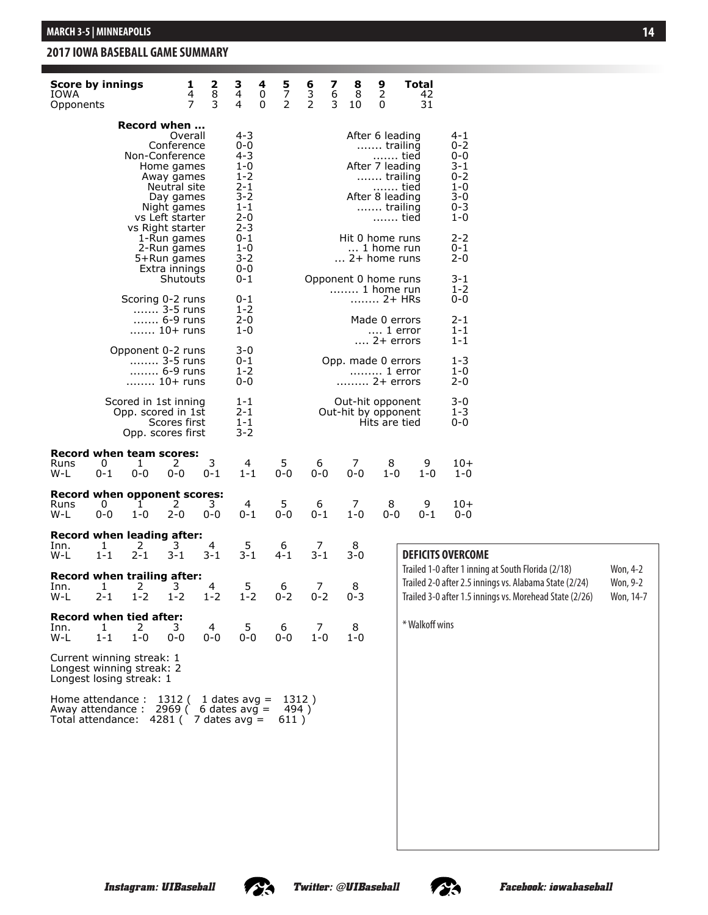#### **Games Summary for IOWA (as of Feb 26, 2017) 2017 IOWA BASEBALL GAME SUMMARY**

| <b>Score by innings</b><br>IOWA<br>Opponents                                                                                  |              |                                                                 | 1<br>4<br>7                                                                                                                          | $\begin{array}{c}\n 2 \\  8 \\  3\n \end{array}$ | 3<br>4<br>4                                                                                | 4<br>$\pmb{0}$<br>0 | $\begin{array}{c} 5 \\ 7 \\ 2 \end{array}$ | $\begin{array}{c} 6 \\ 3 \\ 2 \end{array}$ | 7<br>6<br>3 | 8<br>8<br>10                            | 9<br>2<br>0                                                                                                           | <b>Total</b><br>42<br>31 |                                                                                                                                                                         |                                   |
|-------------------------------------------------------------------------------------------------------------------------------|--------------|-----------------------------------------------------------------|--------------------------------------------------------------------------------------------------------------------------------------|--------------------------------------------------|--------------------------------------------------------------------------------------------|---------------------|--------------------------------------------|--------------------------------------------|-------------|-----------------------------------------|-----------------------------------------------------------------------------------------------------------------------|--------------------------|-------------------------------------------------------------------------------------------------------------------------------------------------------------------------|-----------------------------------|
|                                                                                                                               |              | Record when                                                     |                                                                                                                                      |                                                  |                                                                                            |                     |                                            |                                            |             |                                         |                                                                                                                       |                          |                                                                                                                                                                         |                                   |
|                                                                                                                               |              | Non-Conference                                                  | Overall<br>Conference<br>Home games<br>Away games<br>Neutral site<br>Day games<br>Night games<br>vs Left starter<br>vs Right starter |                                                  | 4-3<br>0-0<br>4-3<br>$1 - 0$<br>1-2<br>$2 - 1$<br>$3 - 2$<br>$1 - 1$<br>$2 - 0$<br>$2 - 3$ |                     |                                            |                                            |             |                                         | After 6 leading<br>trailing<br>tied<br>After 7 leading<br>trailing<br>……. tied<br>After 8 leading<br>trailing<br>tied |                          | 4-1<br>$0 - 2$<br>0-0<br>3-1<br>0-2<br>$1 - 0$<br>$3 - 0$<br>$0 - 3$<br>$1 - 0$                                                                                         |                                   |
|                                                                                                                               |              |                                                                 | 1-Run games<br>2-Run games<br>5+Run games<br>Extra innings                                                                           |                                                  | 0-1<br>$1 - 0$<br>3-2<br>0-0                                                               |                     |                                            |                                            |             | Hit 0 home runs<br>2+ home runs         | 1 home run                                                                                                            |                          | $2 - 2$<br>0-1<br>$2 - 0$                                                                                                                                               |                                   |
|                                                                                                                               |              | Scoring 0-2 runs                                                | Shutouts                                                                                                                             |                                                  | 0-1<br>0-1                                                                                 |                     |                                            |                                            |             | Opponent 0 home runs<br>1 home run      | 2+ HRs                                                                                                                |                          | 3-1<br>$1 - 2$<br>0-0                                                                                                                                                   |                                   |
|                                                                                                                               |              |                                                                 | 3-5 runs<br>$\ldots$ $6-9$ runs<br>10+ runs                                                                                          |                                                  | 1-2<br>$2 - 0$<br>$1 - 0$                                                                  |                     |                                            |                                            |             |                                         | Made 0 errors<br>1 error<br>$\dots$ 2+ errors                                                                         |                          | 2-1<br>$1 - 1$<br>$1 - 1$                                                                                                                                               |                                   |
|                                                                                                                               |              | Opponent 0-2 runs                                               | 3-5 runs<br>6-9 runs<br>10+ runs                                                                                                     |                                                  | 3-0<br>0-1<br>$1 - 2$<br>$0 - 0$                                                           |                     |                                            |                                            |             | Opp. made 0 errors<br>2+ errors         | 1 error                                                                                                               |                          | $1 - 3$<br>$1 - 0$<br>$2 - 0$                                                                                                                                           |                                   |
|                                                                                                                               |              | Scored in 1st inning<br>Opp. scored in 1st<br>Opp. scores first | Scores first                                                                                                                         |                                                  | $1 - 1$<br>2-1<br>$1 - 1$<br>$3 - 2$                                                       |                     |                                            |                                            |             | Out-hit opponent<br>Out-hit by opponent | Hits are tied                                                                                                         |                          | $3 - 0$<br>$1 - 3$<br>0-0                                                                                                                                               |                                   |
| Record when team scores:<br>Runs<br>W-L                                                                                       | 0<br>0-1     | 1<br>$0 - 0$                                                    | 2<br>$0 - 0$                                                                                                                         | 3<br>$0 - 1$                                     | 4<br>$1 - 1$                                                                               |                     | 5<br>$0 - 0$                               | 6<br>$0 - 0$                               |             | 7<br>$0 - 0$                            | 8<br>$1 - 0$                                                                                                          | 9<br>$1 - 0$             | 10+<br>$1 - 0$                                                                                                                                                          |                                   |
| <b>Record when opponent scores:</b><br>Runs<br>W-L                                                                            | 0<br>$0 - 0$ | 1<br>$1 - 0$                                                    | 2<br>$2 - 0$                                                                                                                         | 3.<br>$0 - 0$                                    | 4<br>0-1                                                                                   |                     | 5<br>0-0                                   | 6<br>$0 - 1$                               |             | 7<br>$1 - 0$                            | 8<br>0-0                                                                                                              | 9<br>0-1                 | 10+<br>$0 - 0$                                                                                                                                                          |                                   |
| Record when leading after:<br>Inn.<br>W-L                                                                                     | 1<br>$1 - 1$ | 2<br>$2 - 1$                                                    | 3<br>$3 - 1$                                                                                                                         | 4<br>$3 - 1$                                     | 5<br>$3 - 1$                                                                               |                     | 6<br>$4 - 1$                               | 7<br>$3 - 1$                               |             | 8<br>$3 - 0$                            |                                                                                                                       | <b>DEFICITS OVERCOME</b> |                                                                                                                                                                         |                                   |
| Record when trailing after:<br>Inn.<br>W-L                                                                                    | 1<br>$2 - 1$ | 2<br>$1 - 2$                                                    | 3<br>$1 - 2$                                                                                                                         | 4<br>$1 - 2$                                     | 5<br>$1 - 2$                                                                               |                     | 6<br>$0 - 2$                               | 7<br>$0 - 2$                               |             | 8<br>$0 - 3$                            |                                                                                                                       |                          | Trailed 1-0 after 1 inning at South Florida (2/18)<br>Trailed 2-0 after 2.5 innings vs. Alabama State (2/24)<br>Trailed 3-0 after 1.5 innings vs. Morehead State (2/26) | Won, 4-2<br>Won, 9-2<br>Won, 14-7 |
| <b>Record when tied after:</b><br>Inn.<br>W-L                                                                                 | 1<br>$1 - 1$ | 2<br>$1 - 0$                                                    | 3<br>$0-0$                                                                                                                           | 4<br>$0-0$                                       | 5<br>$0-0$                                                                                 |                     | 6<br>$0-0$                                 | 7<br>$1 - 0$                               |             | 8<br>$1 - 0$                            |                                                                                                                       | * Walkoff wins           |                                                                                                                                                                         |                                   |
| Current winning streak: 1<br>Longest winning streak: 2<br>Longest losing streak: 1                                            |              |                                                                 |                                                                                                                                      |                                                  |                                                                                            |                     |                                            |                                            |             |                                         |                                                                                                                       |                          |                                                                                                                                                                         |                                   |
| Home attendance : $1312$ ( 1 dates avg =<br>Away attendance : 2969 (6 dates avg =<br>Total attendance: $4281$ ( 7 dates avg = |              |                                                                 |                                                                                                                                      |                                                  |                                                                                            |                     | 494)<br>611)                               | 1312)                                      |             |                                         |                                                                                                                       |                          |                                                                                                                                                                         |                                   |

#### **14**



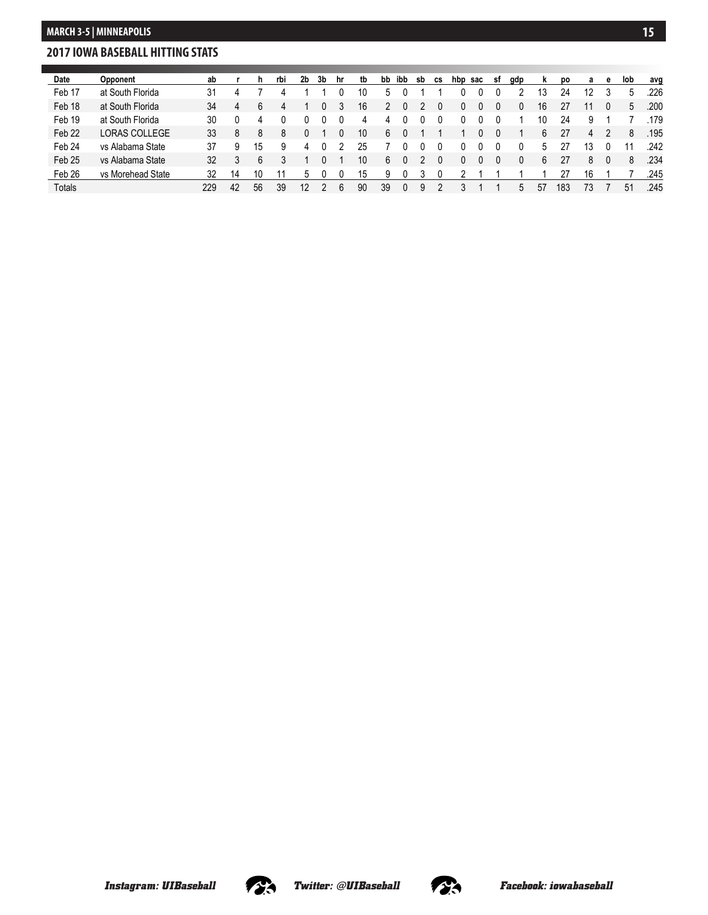#### **Team Game-by-Game for IOWA (as of Mar 01, 2017) 2017 IOWA BASEBALL HITTING STATS**

| Date              | <b>Opponent</b>      | ab  |    | n. | rbi | 2b | 3b | hr | tb | bb | ibb | sb | <b>CS</b> | hbp | sac | sf | gdp | <b>k</b> | po  | а  | е | lob | avg  |
|-------------------|----------------------|-----|----|----|-----|----|----|----|----|----|-----|----|-----------|-----|-----|----|-----|----------|-----|----|---|-----|------|
| Feb 17            | at South Florida     | 31  |    |    |     |    |    |    | 10 | h  |     |    |           |     |     |    |     | 13       | 24  | 12 |   | 5   | .226 |
| Feb 18            | at South Florida     | 34  | 4  | 6  |     |    |    |    | 16 |    |     |    |           |     |     |    |     | 16       |     |    |   | 5   | .200 |
| Feb 19            | at South Florida     | 30  |    | 4  |     |    |    |    | 4  | Δ  |     |    |           |     |     |    |     | 10       | 24  | 9  |   |     | 179  |
| Feb <sub>22</sub> | <b>LORAS COLLEGE</b> | 33  | 8  | 8  | 8   |    |    |    | 10 | 6  |     |    |           |     |     |    |     | 6        | 27  | 4  |   | 8   | .195 |
| Feb 24            | vs Alabama State     | 37  | 9  | 15 | 9   | 4  |    |    | 25 |    |     |    |           |     |     |    |     | ٠h       |     | ١3 |   |     | .242 |
| Feb <sub>25</sub> | vs Alabama State     | 32  |    | 6  |     |    |    |    | 10 | 6  | 0   |    |           |     |     |    |     | 6        | 27  | 8  |   | 8   | .234 |
| Feb 26            | vs Morehead State    | 32  | 14 | 10 |     |    |    |    | 15 | 9  |     |    |           |     |     |    |     |          |     | 16 |   |     | .245 |
| <b>Totals</b>     |                      | 229 | 42 | 56 | 39  | 12 |    |    | 90 | 39 | 0   | 9  |           |     |     |    | 5   | 57       | 183 | 73 |   | 51  | .245 |

**2017 Iowa Baseball**



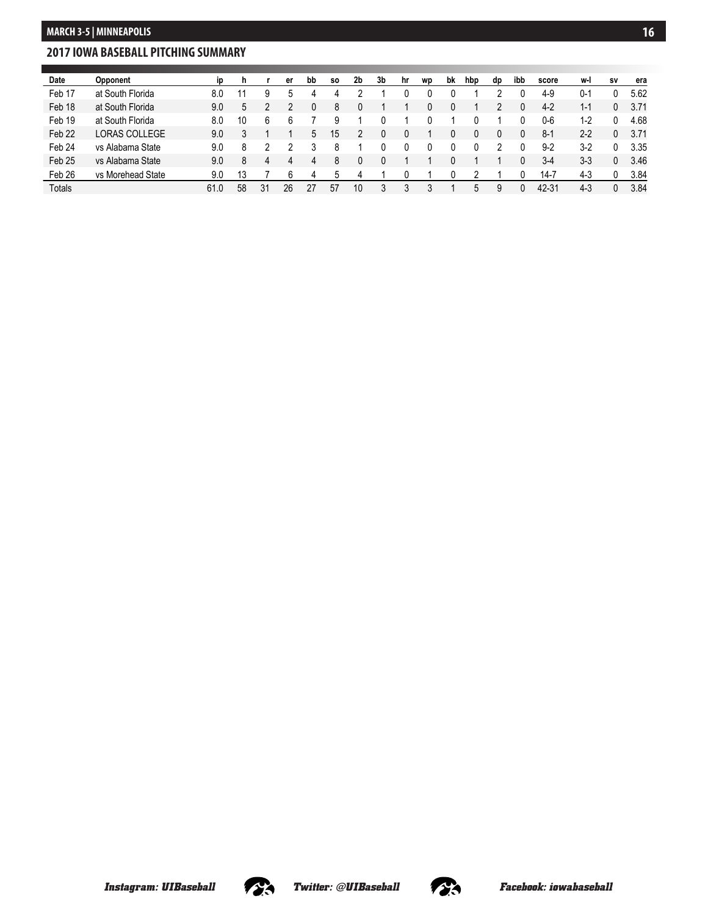### **2017 IOWA BASEBALL PITCHING SUMMARY**

| Date              | Opponent          |      |    |    | er | bb | SO. | 2b | 3b | hr | wp | bk | hbp | dp | ibb | score   | w-l     | <b>SV</b> | era  |
|-------------------|-------------------|------|----|----|----|----|-----|----|----|----|----|----|-----|----|-----|---------|---------|-----------|------|
| Feb 17            | at South Florida  | 8.0  |    |    | ٠h | 4  |     |    |    |    |    |    |     |    |     | $4-9$   | $0 - 1$ |           | 5.62 |
| Feb 18            | at South Florida  | 9.0  | 5  |    |    |    |     |    |    |    |    |    |     |    |     | $4-2$   | 1-1     | 0         | 3.71 |
| Feb 19            | at South Florida  | 8.0  | 10 |    |    |    |     |    |    |    |    |    |     |    |     | 0-6     | $1-2$   |           | 4.68 |
| Feb <sub>22</sub> | LORAS COLLEGE     | 9.0  |    |    |    | 5  | 15  |    |    |    |    |    |     |    |     | $8-1$   | $2 - 2$ | 0         | 3.71 |
| Feb 24            | vs Alabama State  | 9.0  | 8  |    |    |    |     |    |    |    |    |    |     |    |     | $9 - 2$ | $3-2$   |           | 3.35 |
| Feb <sub>25</sub> | vs Alabama State  | 9.0  | 8  |    | 4  | 4  |     |    |    |    |    |    |     |    |     | $3-4$   | $3 - 3$ | 0         | 3.46 |
| Feb 26            | vs Morehead State | 9.0  | 13 |    | 6  | 4  | 5   | 4  |    |    |    |    |     |    |     | 14-7    | $4 - 3$ | 0         | 3.84 |
| <b>Totals</b>     |                   | 61.0 | 58 | 31 | 26 | 27 | 57  | 10 | 3  |    |    |    | 5   | 9  |     | 42-31   | $4 - 3$ | 0         | 3.84 |

**Team Game-by-Game for IOWA (as of Mar 01, 2017)**



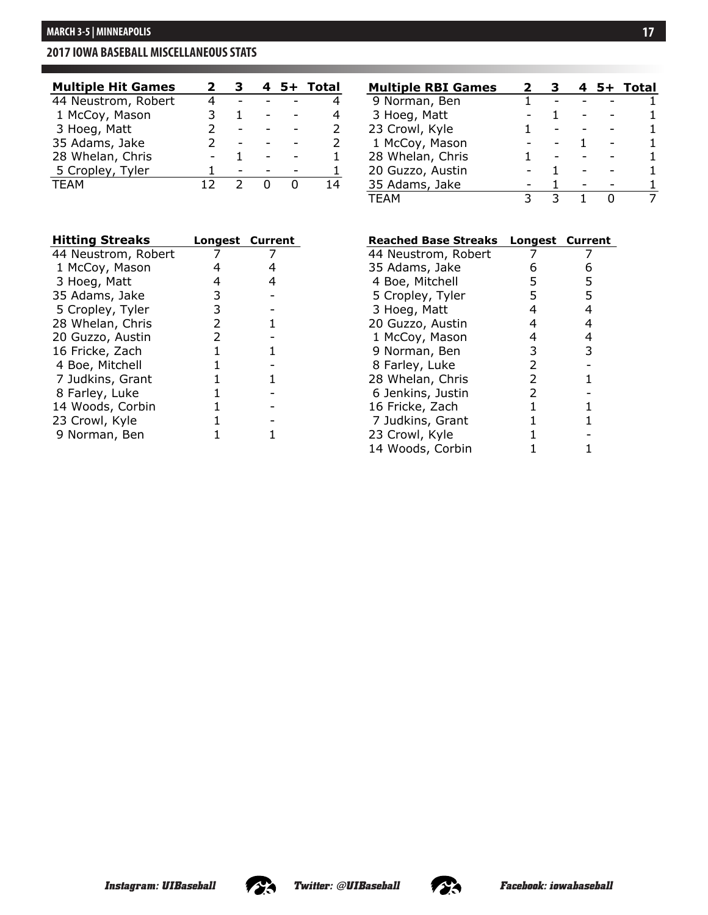### **2017 IOWA BASEBALL MISCELLANEOUS STATS**

| <b>Multiple Hit Games</b> |  | 4 | 5+ Total |
|---------------------------|--|---|----------|
| 44 Neustrom, Robert       |  |   |          |
| 1 McCoy, Mason            |  |   |          |
| 3 Hoeg, Matt              |  |   |          |
| 35 Adams, Jake            |  |   |          |
| 28 Whelan, Chris          |  |   |          |
| 5 Cropley, Tyler          |  |   |          |
| TFAM                      |  |   |          |

| <b>Hitting Streaks</b> | <b>Longest Current</b> |  |
|------------------------|------------------------|--|
| 44 Neustrom, Robert    |                        |  |
| 1 McCoy, Mason         | 4                      |  |
| 3 Hoeg, Matt           | 4                      |  |
| 35 Adams, Jake         | 3                      |  |
| 5 Cropley, Tyler       | 3                      |  |
| 28 Whelan, Chris       | 2                      |  |
| 20 Guzzo, Austin       | 2                      |  |
| 16 Fricke, Zach        | 1                      |  |
| 4 Boe, Mitchell        |                        |  |
| 7 Judkins, Grant       | 1                      |  |
| 8 Farley, Luke         |                        |  |
| 14 Woods, Corbin       | 1                      |  |
| 23 Crowl, Kyle         |                        |  |
| 9 Norman, Ben          |                        |  |

| <b>Multiple RBI Games</b> |  |  | 5+ Total |
|---------------------------|--|--|----------|
| 9 Norman, Ben             |  |  |          |
| 3 Hoeg, Matt              |  |  |          |
| 23 Crowl, Kyle            |  |  |          |
| 1 McCoy, Mason            |  |  |          |
| 28 Whelan, Chris          |  |  |          |
| 20 Guzzo, Austin          |  |  |          |
| 35 Adams, Jake            |  |  |          |
| TFAM                      |  |  |          |

**2017 Iowa Baseball**

**(All games)**

| <b>Reached Base Streaks</b> | <b>Longest Current</b> |   |
|-----------------------------|------------------------|---|
| 44 Neustrom, Robert         |                        |   |
| 35 Adams, Jake              | 6                      | 6 |
| 4 Boe, Mitchell             | 5                      | 5 |
| 5 Cropley, Tyler            | 5                      | 5 |
| 3 Hoeg, Matt                | 4                      | 4 |
| 20 Guzzo, Austin            | 4                      | 4 |
| 1 McCoy, Mason              | 4                      | 4 |
| 9 Norman, Ben               | 3                      | 3 |
| 8 Farley, Luke              | $\overline{2}$         |   |
| 28 Whelan, Chris            | 2                      | 1 |
| 6 Jenkins, Justin           | $\overline{2}$         |   |
| 16 Fricke, Zach             | 1                      |   |
| 7 Judkins, Grant            | 1                      |   |
| 23 Crowl, Kyle              |                        |   |
| 14 Woods, Corbin            |                        |   |



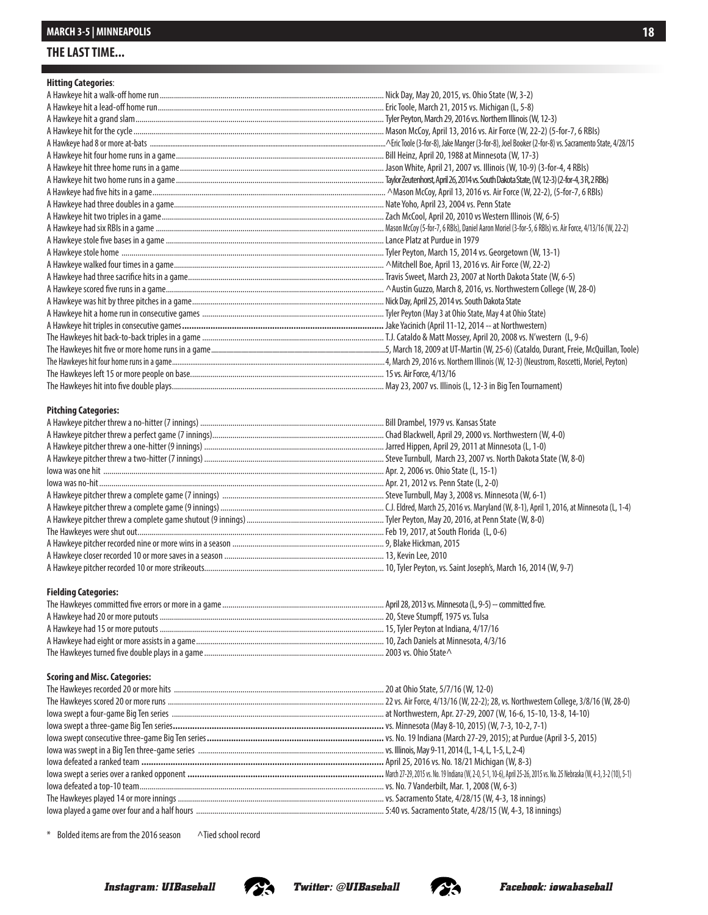### **THE LAST TIME...**

#### **Hitting Categories**:

#### **Pitching Categories:**

#### **Fielding Categories:**

#### **Scoring and Misc. Categories:**

\* Bolded items are from the 2016 season ^Tied school record